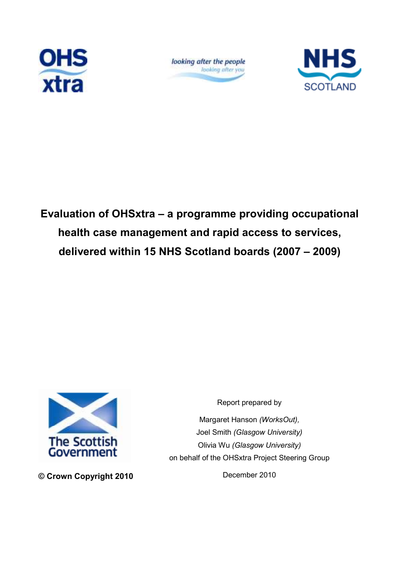

looking after the people looking after you



Evaluation of OHSxtra – a programme providing occupational health case management and rapid access to services, delivered within 15 NHS Scotland boards (2007 – 2009)



© Crown Copyright 2010

Report prepared by Margaret Hanson (WorksOut), Joel Smith (Glasgow University) Olivia Wu (Glasgow University) on behalf of the OHSxtra Project Steering Group

December 2010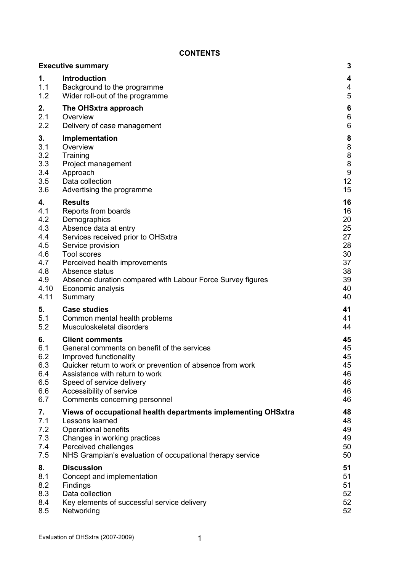### **CONTENTS**

|      | <b>Executive summary</b>                                      | 3                |
|------|---------------------------------------------------------------|------------------|
| 1.   | Introduction                                                  | 4                |
| 1.1  | Background to the programme                                   | 4                |
| 1.2  | Wider roll-out of the programme                               | 5                |
| 2.   | The OHSxtra approach                                          | 6                |
| 2.1  | Overview                                                      | $\,6$            |
| 2.2  | Delivery of case management                                   | $\,6$            |
| 3.   | Implementation                                                | 8                |
| 3.1  | Overview                                                      | $\bf 8$          |
| 3.2  | Training                                                      | $\bf 8$          |
| 3.3  | Project management                                            | $\bf 8$          |
| 3.4  | Approach                                                      | $\boldsymbol{9}$ |
| 3.5  | Data collection                                               | 12               |
| 3.6  | Advertising the programme                                     | 15               |
| 4.   | <b>Results</b>                                                | 16               |
| 4.1  | Reports from boards                                           | 16               |
| 4.2  | Demographics                                                  | 20               |
| 4.3  | Absence data at entry                                         | 25               |
| 4.4  | Services received prior to OHSxtra                            | 27               |
| 4.5  | Service provision                                             | 28               |
| 4.6  | <b>Tool scores</b>                                            | 30               |
| 4.7  | Perceived health improvements                                 | 37               |
| 4.8  | Absence status                                                | 38               |
| 4.9  | Absence duration compared with Labour Force Survey figures    | 39               |
| 4.10 | Economic analysis                                             | 40               |
| 4.11 | Summary                                                       | 40               |
| 5.   | <b>Case studies</b>                                           | 41               |
| 5.1  | Common mental health problems                                 | 41               |
| 5.2  | Musculoskeletal disorders                                     | 44               |
| 6.   | <b>Client comments</b>                                        | 45               |
| 6.1  | General comments on benefit of the services                   | 45               |
| 6.2  | Improved functionality                                        | 45               |
| 6.3  | Quicker return to work or prevention of absence from work     | 45               |
| 6.4  | Assistance with return to work                                | 46               |
| 6.5  | Speed of service delivery                                     | 46               |
| 6.6  | Accessibility of service                                      | 46               |
| 6.7  | Comments concerning personnel                                 | 46               |
| 7.   | Views of occupational health departments implementing OHSxtra | 48               |
| 7.1  | Lessons learned                                               | 48               |
| 7.2  | <b>Operational benefits</b>                                   | 49               |
| 7.3  | Changes in working practices                                  | 49               |
| 7.4  | Perceived challenges                                          | 50               |
| 7.5  | NHS Grampian's evaluation of occupational therapy service     | 50               |
| 8.   | <b>Discussion</b>                                             | 51               |
| 8.1  | Concept and implementation                                    | 51               |
| 8.2  | Findings                                                      | 51               |
| 8.3  | Data collection                                               | 52               |
| 8.4  | Key elements of successful service delivery                   | 52               |
| 8.5  | Networking                                                    | 52               |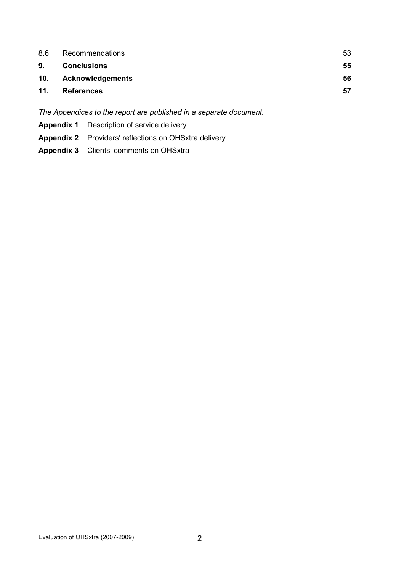| 8.6 | Recommendations      | 53 |
|-----|----------------------|----|
| 9.  | <b>Conclusions</b>   | 55 |
|     | 10. Acknowledgements | 56 |
| 11. | <b>References</b>    | 57 |
|     |                      |    |

The Appendices to the report are published in a separate document.

- Appendix 1 Description of service delivery
- Appendix 2 Providers' reflections on OHSxtra delivery
- Appendix 3 Clients' comments on OHSxtra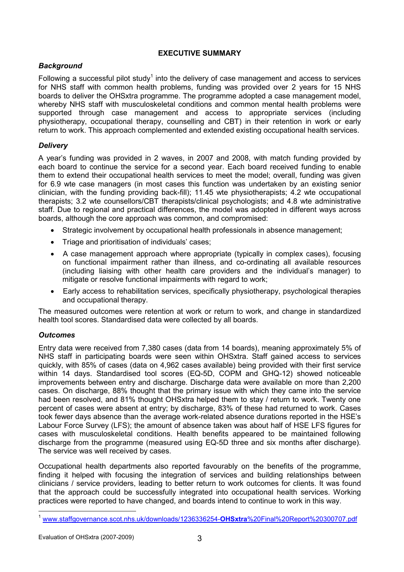# EXECUTIVE SUMMARY

# **Background**

Following a successful pilot study<sup>1</sup> into the delivery of case management and access to services for NHS staff with common health problems, funding was provided over 2 years for 15 NHS boards to deliver the OHSxtra programme. The programme adopted a case management model, whereby NHS staff with musculoskeletal conditions and common mental health problems were supported through case management and access to appropriate services (including physiotherapy, occupational therapy, counselling and CBT) in their retention in work or early return to work. This approach complemented and extended existing occupational health services.

# **Delivery**

A year's funding was provided in 2 waves, in 2007 and 2008, with match funding provided by each board to continue the service for a second year. Each board received funding to enable them to extend their occupational health services to meet the model; overall, funding was given for 6.9 wte case managers (in most cases this function was undertaken by an existing senior clinician, with the funding providing back-fill); 11.45 wte physiotherapists; 4.2 wte occupational therapists; 3.2 wte counsellors/CBT therapists/clinical psychologists; and 4.8 wte administrative staff. Due to regional and practical differences, the model was adopted in different ways across boards, although the core approach was common, and compromised:

- Strategic involvement by occupational health professionals in absence management;
- Triage and prioritisation of individuals' cases;
- A case management approach where appropriate (typically in complex cases), focusing on functional impairment rather than illness, and co-ordinating all available resources (including liaising with other health care providers and the individual's manager) to mitigate or resolve functional impairments with regard to work;
- Early access to rehabilitation services, specifically physiotherapy, psychological therapies and occupational therapy.

The measured outcomes were retention at work or return to work, and change in standardized health tool scores. Standardised data were collected by all boards.

### **Outcomes**

Entry data were received from 7,380 cases (data from 14 boards), meaning approximately 5% of NHS staff in participating boards were seen within OHSxtra. Staff gained access to services quickly, with 85% of cases (data on 4,962 cases available) being provided with their first service within 14 days. Standardised tool scores (EQ-5D, COPM and GHQ-12) showed noticeable improvements between entry and discharge. Discharge data were available on more than 2,200 cases. On discharge, 88% thought that the primary issue with which they came into the service had been resolved, and 81% thought OHSxtra helped them to stay / return to work. Twenty one percent of cases were absent at entry; by discharge, 83% of these had returned to work. Cases took fewer days absence than the average work-related absence durations reported in the HSE's Labour Force Survey (LFS); the amount of absence taken was about half of HSE LFS figures for cases with musculoskeletal conditions. Health benefits appeared to be maintained following discharge from the programme (measured using EQ-5D three and six months after discharge). The service was well received by cases.

Occupational health departments also reported favourably on the benefits of the programme, finding it helped with focusing the integration of services and building relationships between clinicians / service providers, leading to better return to work outcomes for clients. It was found that the approach could be successfully integrated into occupational health services. Working practices were reported to have changed, and boards intend to continue to work in this way.  $\overline{a}$ 

<sup>1</sup> www.staffgovernance.scot.nhs.uk/downloads/1236336254-OHSxtra%20Final%20Report%20300707.pdf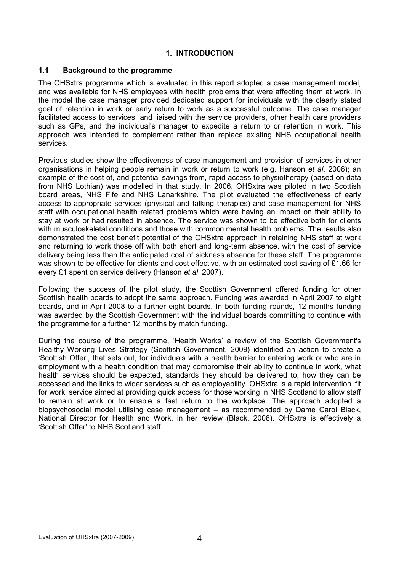# 1. INTRODUCTION

### 1.1 Background to the programme

The OHSxtra programme which is evaluated in this report adopted a case management model, and was available for NHS employees with health problems that were affecting them at work. In the model the case manager provided dedicated support for individuals with the clearly stated goal of retention in work or early return to work as a successful outcome. The case manager facilitated access to services, and liaised with the service providers, other health care providers such as GPs, and the individual's manager to expedite a return to or retention in work. This approach was intended to complement rather than replace existing NHS occupational health services.

Previous studies show the effectiveness of case management and provision of services in other organisations in helping people remain in work or return to work (e.g. Hanson et al, 2006); an example of the cost of, and potential savings from, rapid access to physiotherapy (based on data from NHS Lothian) was modelled in that study. In 2006, OHSxtra was piloted in two Scottish board areas, NHS Fife and NHS Lanarkshire. The pilot evaluated the effectiveness of early access to appropriate services (physical and talking therapies) and case management for NHS staff with occupational health related problems which were having an impact on their ability to stay at work or had resulted in absence. The service was shown to be effective both for clients with musculoskeletal conditions and those with common mental health problems. The results also demonstrated the cost benefit potential of the OHSxtra approach in retaining NHS staff at work and returning to work those off with both short and long-term absence, with the cost of service delivery being less than the anticipated cost of sickness absence for these staff. The programme was shown to be effective for clients and cost effective, with an estimated cost saving of £1.66 for every £1 spent on service delivery (Hanson et al, 2007).

Following the success of the pilot study, the Scottish Government offered funding for other Scottish health boards to adopt the same approach. Funding was awarded in April 2007 to eight boards, and in April 2008 to a further eight boards. In both funding rounds, 12 months funding was awarded by the Scottish Government with the individual boards committing to continue with the programme for a further 12 months by match funding.

During the course of the programme, 'Health Works' a review of the Scottish Government's Healthy Working Lives Strategy (Scottish Government, 2009) identified an action to create a 'Scottish Offer', that sets out, for individuals with a health barrier to entering work or who are in employment with a health condition that may compromise their ability to continue in work, what health services should be expected, standards they should be delivered to, how they can be accessed and the links to wider services such as employability. OHSxtra is a rapid intervention 'fit for work' service aimed at providing quick access for those working in NHS Scotland to allow staff to remain at work or to enable a fast return to the workplace. The approach adopted a biopsychosocial model utilising case management – as recommended by Dame Carol Black, National Director for Health and Work, in her review (Black, 2008). OHSxtra is effectively a 'Scottish Offer' to NHS Scotland staff.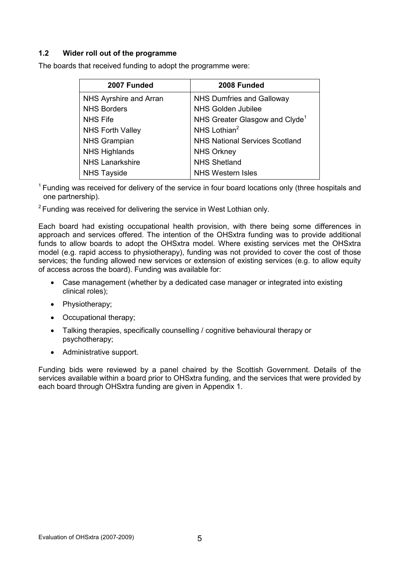# 1.2 Wider roll out of the programme

The boards that received funding to adopt the programme were:

| 2007 Funded             | 2008 Funded                                |
|-------------------------|--------------------------------------------|
| NHS Ayrshire and Arran  | NHS Dumfries and Galloway                  |
| <b>NHS Borders</b>      | <b>NHS Golden Jubilee</b>                  |
| <b>NHS Fife</b>         | NHS Greater Glasgow and Clyde <sup>1</sup> |
| <b>NHS Forth Valley</b> | NHS Lothian <sup>2</sup>                   |
| <b>NHS Grampian</b>     | <b>NHS National Services Scotland</b>      |
| <b>NHS Highlands</b>    | <b>NHS Orkney</b>                          |
| <b>NHS Lanarkshire</b>  | <b>NHS Shetland</b>                        |
| <b>NHS Tayside</b>      | <b>NHS Western Isles</b>                   |

 $1$  Funding was received for delivery of the service in four board locations only (three hospitals and one partnership).

 $2$  Funding was received for delivering the service in West Lothian only.

Each board had existing occupational health provision, with there being some differences in approach and services offered. The intention of the OHSxtra funding was to provide additional funds to allow boards to adopt the OHSxtra model. Where existing services met the OHSxtra model (e.g. rapid access to physiotherapy), funding was not provided to cover the cost of those services; the funding allowed new services or extension of existing services (e.g. to allow equity of access across the board). Funding was available for:

- Case management (whether by a dedicated case manager or integrated into existing clinical roles);
- Physiotherapy;
- Occupational therapy;
- Talking therapies, specifically counselling / cognitive behavioural therapy or psychotherapy;
- Administrative support.

Funding bids were reviewed by a panel chaired by the Scottish Government. Details of the services available within a board prior to OHSxtra funding, and the services that were provided by each board through OHSxtra funding are given in Appendix 1.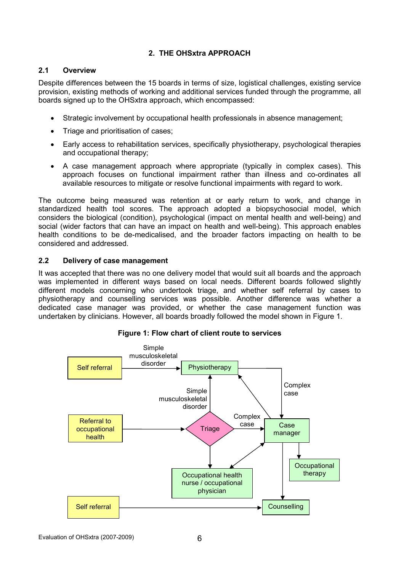# 2. THE OHSxtra APPROACH

### 2.1 Overview

Despite differences between the 15 boards in terms of size, logistical challenges, existing service provision, existing methods of working and additional services funded through the programme, all boards signed up to the OHSxtra approach, which encompassed:

- Strategic involvement by occupational health professionals in absence management;
- Triage and prioritisation of cases;
- Early access to rehabilitation services, specifically physiotherapy, psychological therapies and occupational therapy;
- A case management approach where appropriate (typically in complex cases). This approach focuses on functional impairment rather than illness and co-ordinates all available resources to mitigate or resolve functional impairments with regard to work.

The outcome being measured was retention at or early return to work, and change in standardized health tool scores. The approach adopted a biopsychosocial model, which considers the biological (condition), psychological (impact on mental health and well-being) and social (wider factors that can have an impact on health and well-being). This approach enables health conditions to be de-medicalised, and the broader factors impacting on health to be considered and addressed.

# 2.2 Delivery of case management

It was accepted that there was no one delivery model that would suit all boards and the approach was implemented in different ways based on local needs. Different boards followed slightly different models concerning who undertook triage, and whether self referral by cases to physiotherapy and counselling services was possible. Another difference was whether a dedicated case manager was provided, or whether the case management function was undertaken by clinicians. However, all boards broadly followed the model shown in Figure 1.



Figure 1: Flow chart of client route to services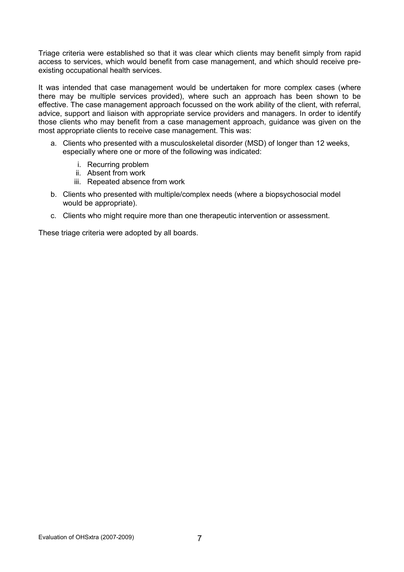Triage criteria were established so that it was clear which clients may benefit simply from rapid access to services, which would benefit from case management, and which should receive preexisting occupational health services.

It was intended that case management would be undertaken for more complex cases (where there may be multiple services provided), where such an approach has been shown to be effective. The case management approach focussed on the work ability of the client, with referral, advice, support and liaison with appropriate service providers and managers. In order to identify those clients who may benefit from a case management approach, guidance was given on the most appropriate clients to receive case management. This was:

- a. Clients who presented with a musculoskeletal disorder (MSD) of longer than 12 weeks, especially where one or more of the following was indicated:
	- i. Recurring problem
	- ii. Absent from work
	- iii. Repeated absence from work
- b. Clients who presented with multiple/complex needs (where a biopsychosocial model would be appropriate).
- c. Clients who might require more than one therapeutic intervention or assessment.

These triage criteria were adopted by all boards.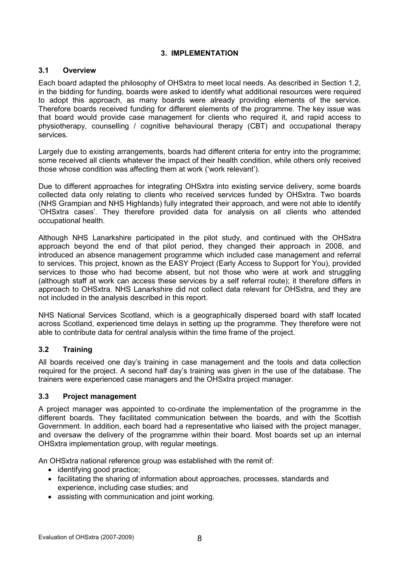# 3. IMPLEMENTATION

### 3.1 Overview

Each board adapted the philosophy of OHSxtra to meet local needs. As described in Section 1.2, in the bidding for funding, boards were asked to identify what additional resources were required to adopt this approach, as many boards were already providing elements of the service. Therefore boards received funding for different elements of the programme. The key issue was that board would provide case management for clients who required it, and rapid access to physiotherapy, counselling / cognitive behavioural therapy (CBT) and occupational therapy services.

Largely due to existing arrangements, boards had different criteria for entry into the programme; some received all clients whatever the impact of their health condition, while others only received those whose condition was affecting them at work ('work relevant').

Due to different approaches for integrating OHSxtra into existing service delivery, some boards collected data only relating to clients who received services funded by OHSxtra. Two boards (NHS Grampian and NHS Highlands) fully integrated their approach, and were not able to identify 'OHSxtra cases'. They therefore provided data for analysis on all clients who attended occupational health.

Although NHS Lanarkshire participated in the pilot study, and continued with the OHSxtra approach beyond the end of that pilot period, they changed their approach in 2008, and introduced an absence management programme which included case management and referral to services. This project, known as the EASY Project (Early Access to Support for You), provided services to those who had become absent, but not those who were at work and struggling (although staff at work can access these services by a self referral route); it therefore differs in approach to OHSxtra. NHS Lanarkshire did not collect data relevant for OHSxtra, and they are not included in the analysis described in this report.

NHS National Services Scotland, which is a geographically dispersed board with staff located across Scotland, experienced time delays in setting up the programme. They therefore were not able to contribute data for central analysis within the time frame of the project.

# 3.2 Training

All boards received one day's training in case management and the tools and data collection required for the project. A second half day's training was given in the use of the database. The trainers were experienced case managers and the OHSxtra project manager.

### 3.3 Project management

A project manager was appointed to co-ordinate the implementation of the programme in the different boards. They facilitated communication between the boards, and with the Scottish Government. In addition, each board had a representative who liaised with the project manager, and oversaw the delivery of the programme within their board. Most boards set up an internal OHSxtra implementation group, with regular meetings.

An OHSxtra national reference group was established with the remit of:

- identifying good practice;
- facilitating the sharing of information about approaches, processes, standards and experience, including case studies; and
- assisting with communication and joint working.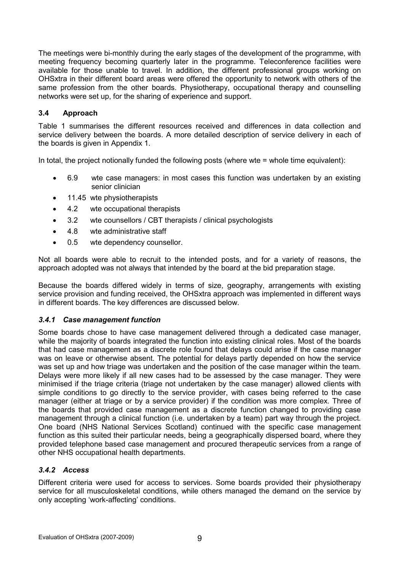The meetings were bi-monthly during the early stages of the development of the programme, with meeting frequency becoming quarterly later in the programme. Teleconference facilities were available for those unable to travel. In addition, the different professional groups working on OHSxtra in their different board areas were offered the opportunity to network with others of the same profession from the other boards. Physiotherapy, occupational therapy and counselling networks were set up, for the sharing of experience and support.

# 3.4 Approach

Table 1 summarises the different resources received and differences in data collection and service delivery between the boards. A more detailed description of service delivery in each of the boards is given in Appendix 1.

In total, the project notionally funded the following posts (where wte = whole time equivalent):

- 6.9 wte case managers: in most cases this function was undertaken by an existing senior clinician
- 11.45 wte physiotherapists
- 4.2 wte occupational therapists
- 3.2 wte counsellors / CBT therapists / clinical psychologists
- 4.8 wte administrative staff
- 0.5 wte dependency counsellor.

Not all boards were able to recruit to the intended posts, and for a variety of reasons, the approach adopted was not always that intended by the board at the bid preparation stage.

Because the boards differed widely in terms of size, geography, arrangements with existing service provision and funding received, the OHSxtra approach was implemented in different ways in different boards. The key differences are discussed below.

### 3.4.1 Case management function

Some boards chose to have case management delivered through a dedicated case manager, while the majority of boards integrated the function into existing clinical roles. Most of the boards that had case management as a discrete role found that delays could arise if the case manager was on leave or otherwise absent. The potential for delays partly depended on how the service was set up and how triage was undertaken and the position of the case manager within the team. Delays were more likely if all new cases had to be assessed by the case manager. They were minimised if the triage criteria (triage not undertaken by the case manager) allowed clients with simple conditions to go directly to the service provider, with cases being referred to the case manager (either at triage or by a service provider) if the condition was more complex. Three of the boards that provided case management as a discrete function changed to providing case management through a clinical function (i.e. undertaken by a team) part way through the project. One board (NHS National Services Scotland) continued with the specific case management function as this suited their particular needs, being a geographically dispersed board, where they provided telephone based case management and procured therapeutic services from a range of other NHS occupational health departments.

### 3.4.2 Access

Different criteria were used for access to services. Some boards provided their physiotherapy service for all musculoskeletal conditions, while others managed the demand on the service by only accepting 'work-affecting' conditions.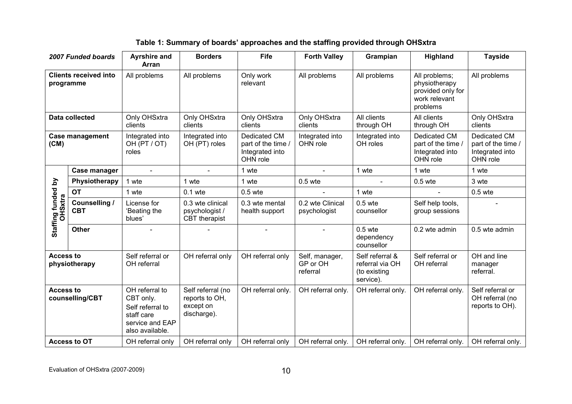|  | Table 1: Summary of boards' approaches and the staffing provided through OHSxtra |  |
|--|----------------------------------------------------------------------------------|--|
|--|----------------------------------------------------------------------------------|--|

|                                           | 2007 Funded boards                 | <b>Ayrshire and</b><br>Arran                                                                        | <b>Borders</b>                                                  | Fife                                                             | <b>Forth Valley</b>                    | Grampian                                                        | Highland                                                                         | <b>Tayside</b>                                                    |
|-------------------------------------------|------------------------------------|-----------------------------------------------------------------------------------------------------|-----------------------------------------------------------------|------------------------------------------------------------------|----------------------------------------|-----------------------------------------------------------------|----------------------------------------------------------------------------------|-------------------------------------------------------------------|
| <b>Clients received into</b><br>programme |                                    | All problems                                                                                        | All problems                                                    | Only work<br>relevant                                            | All problems                           | All problems                                                    | All problems;<br>physiotherapy<br>provided only for<br>work relevant<br>problems | All problems                                                      |
|                                           | <b>Data collected</b>              | Only OHSxtra<br>clients                                                                             | Only OHSxtra<br>clients                                         | Only OHSxtra<br>clients                                          | Only OHSxtra<br>clients                | All clients<br>through OH                                       | All clients<br>through OH                                                        | Only OHSxtra<br>clients                                           |
| <b>Case management</b><br>(CM)            |                                    | Integrated into<br>OH (PT / OT)<br>roles                                                            | Integrated into<br>OH (PT) roles                                | Dedicated CM<br>part of the time.<br>Integrated into<br>OHN role | Integrated into<br>OHN role            | Integrated into<br>OH roles                                     | Dedicated CM<br>part of the time /<br>Integrated into<br>OHN role                | Dedicated CM<br>part of the time /<br>Integrated into<br>OHN role |
|                                           | Case manager                       | $\overline{a}$                                                                                      | $\overline{a}$                                                  | 1 wte                                                            |                                        | 1 wte                                                           | 1 wte                                                                            | 1 wte                                                             |
|                                           | Physiotherapy                      | 1 wte                                                                                               | 1 wte                                                           | 1 wte                                                            | $0.5$ wte                              |                                                                 | $0.5$ wte                                                                        | 3 wte                                                             |
|                                           | <b>OT</b>                          | 1 wte                                                                                               | $0.1$ wte                                                       | $0.5$ wte                                                        |                                        | 1 wte                                                           |                                                                                  | $0.5$ wte                                                         |
| Staffing funded by<br><b>OHSxtra</b>      | <b>Counselling /</b><br><b>CBT</b> | License for<br>'Beating the<br>blues'                                                               | 0.3 wte clinical<br>psychologist /<br>CBT therapist             | 0.3 wte mental<br>health support                                 | 0.2 wte Clinical<br>psychologist       | $0.5$ wte<br>counsellor                                         | Self help tools,<br>group sessions                                               |                                                                   |
|                                           | <b>Other</b>                       |                                                                                                     |                                                                 |                                                                  |                                        | $0.5$ wte<br>dependency<br>counsellor                           | 0.2 wte admin                                                                    | 0.5 wte admin                                                     |
| <b>Access to</b><br>physiotherapy         |                                    | Self referral or<br>OH referral                                                                     | OH referral only                                                | OH referral only                                                 | Self, manager,<br>GP or OH<br>referral | Self referral &<br>referral via OH<br>(to existing<br>service). | Self referral or<br>OH referral                                                  | OH and line<br>manager<br>referral.                               |
| <b>Access to</b><br>counselling/CBT       |                                    | OH referral to<br>CBT only.<br>Self referral to<br>staff care<br>service and EAP<br>also available. | Self referral (no<br>reports to OH,<br>except on<br>discharge). | OH referral only.                                                | OH referral only.                      | OH referral only.                                               | OH referral only.                                                                | Self referral or<br>OH referral (no<br>reports to OH).            |
|                                           | <b>Access to OT</b>                | OH referral only                                                                                    | OH referral only                                                | OH referral only                                                 | OH referral only.                      | OH referral only.                                               | OH referral only.                                                                | OH referral only.                                                 |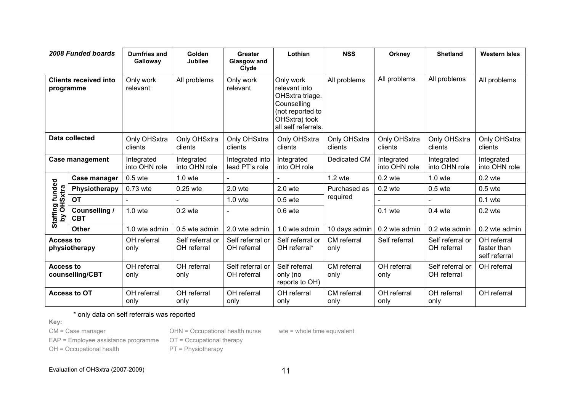|                                           | 2008 Funded boards          | <b>Dumfries and</b><br>Galloway | Golden<br><b>Jubilee</b>        | <b>Greater</b><br><b>Glasgow and</b><br>Clyde | Lothian                                                                                                                  | <b>NSS</b>              | Orkney                      | <b>Shetland</b>                 | <b>Western Isles</b>                        |
|-------------------------------------------|-----------------------------|---------------------------------|---------------------------------|-----------------------------------------------|--------------------------------------------------------------------------------------------------------------------------|-------------------------|-----------------------------|---------------------------------|---------------------------------------------|
| <b>Clients received into</b><br>programme |                             | Only work<br>relevant           | All problems                    | Only work<br>relevant                         | Only work<br>relevant into<br>OHSxtra triage.<br>Counselling<br>(not reported to<br>OHSxtra) took<br>all self referrals. | All problems            | All problems                | All problems                    | All problems                                |
| Data collected                            |                             | Only OHSxtra<br>clients         | Only OHSxtra<br>clients         | Only OHSxtra<br>clients                       | Only OHSxtra<br>clients                                                                                                  | Only OHSxtra<br>clients | Only OHSxtra<br>clients     | Only OHSxtra<br>clients         | Only OHSxtra<br>clients                     |
| <b>Case management</b>                    |                             | Integrated<br>into OHN role     | Integrated<br>into OHN role     | Integrated into<br>lead PT's role             | Integrated<br>into OH role                                                                                               | Dedicated CM            | Integrated<br>into OHN role | Integrated<br>into OHN role     | Integrated<br>into OHN role                 |
|                                           | Case manager                | $0.5$ wte                       | $1.0$ wte                       |                                               |                                                                                                                          | 1.2 wte                 | $0.2$ wte                   | $1.0$ wte                       | $0.2$ wte                                   |
|                                           | Physiotherapy               | 0.73 wte                        | 0.25 wte                        | $2.0$ wte                                     | $2.0$ wte                                                                                                                | Purchased as            | $0.2$ wte                   | $0.5$ wte                       | $0.5$ wte                                   |
|                                           | OT                          |                                 |                                 | $1.0$ wte                                     | $0.5$ wte                                                                                                                | required                |                             |                                 | $0.1$ wte                                   |
| Staffing funded<br>by OHSxtra<br>λá       | Counselling /<br><b>CBT</b> | $1.0$ wte                       | $0.2$ wte                       | $\overline{\phantom{0}}$                      | $0.6$ wte                                                                                                                |                         | $0.1$ wte                   | $0.4$ wte                       | $0.2$ wte                                   |
|                                           | <b>Other</b>                | 1.0 wte admin                   | 0.5 wte admin                   | 2.0 wte admin                                 | 1.0 wte admin                                                                                                            | 10 days admin           | 0.2 wte admin               | 0.2 wte admin                   | 0.2 wte admin                               |
| <b>Access to</b><br>physiotherapy         |                             | OH referral<br>only             | Self referral or<br>OH referral | Self referral or<br>OH referral               | Self referral or<br>OH referral*                                                                                         | CM referral<br>only     | Self referral               | Self referral or<br>OH referral | OH referral<br>faster than<br>self referral |
| <b>Access to</b><br>counselling/CBT       |                             | OH referral<br>only             | OH referral<br>only             | Self referral or<br>OH referral               | Self referral<br>only (no<br>reports to OH)                                                                              | CM referral<br>only     | OH referral<br>only         | Self referral or<br>OH referral | OH referral                                 |
|                                           | <b>Access to OT</b>         | OH referral<br>only             | OH referral<br>only             | OH referral<br>only                           | OH referral<br>only                                                                                                      | CM referral<br>only     | OH referral<br>only         | OH referral<br>only             | OH referral                                 |

\* only data on self referrals was reported

Key:

CM = Case manager

OHN = Occupational health nurse

EAP = Employee assistance programme

OH = Occupational health

wte = whole time equivalent

OT = Occupational therapy

PT = Physiotherapy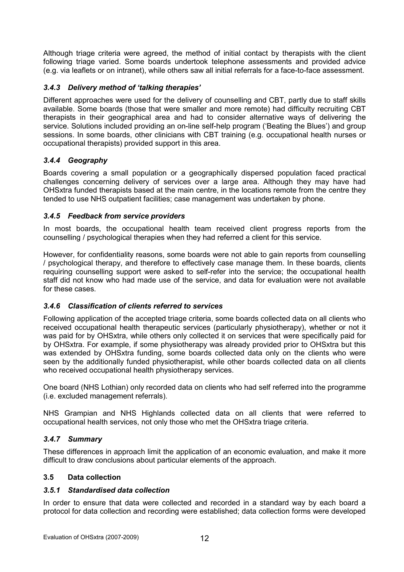Although triage criteria were agreed, the method of initial contact by therapists with the client following triage varied. Some boards undertook telephone assessments and provided advice (e.g. via leaflets or on intranet), while others saw all initial referrals for a face-to-face assessment.

# 3.4.3 Delivery method of 'talking therapies'

Different approaches were used for the delivery of counselling and CBT, partly due to staff skills available. Some boards (those that were smaller and more remote) had difficulty recruiting CBT therapists in their geographical area and had to consider alternative ways of delivering the service. Solutions included providing an on-line self-help program ('Beating the Blues') and group sessions. In some boards, other clinicians with CBT training (e.g. occupational health nurses or occupational therapists) provided support in this area.

# 3.4.4 Geography

Boards covering a small population or a geographically dispersed population faced practical challenges concerning delivery of services over a large area. Although they may have had OHSxtra funded therapists based at the main centre, in the locations remote from the centre they tended to use NHS outpatient facilities; case management was undertaken by phone.

### 3.4.5 Feedback from service providers

In most boards, the occupational health team received client progress reports from the counselling / psychological therapies when they had referred a client for this service.

However, for confidentiality reasons, some boards were not able to gain reports from counselling / psychological therapy, and therefore to effectively case manage them. In these boards, clients requiring counselling support were asked to self-refer into the service; the occupational health staff did not know who had made use of the service, and data for evaluation were not available for these cases.

# 3.4.6 Classification of clients referred to services

Following application of the accepted triage criteria, some boards collected data on all clients who received occupational health therapeutic services (particularly physiotherapy), whether or not it was paid for by OHSxtra, while others only collected it on services that were specifically paid for by OHSxtra. For example, if some physiotherapy was already provided prior to OHSxtra but this was extended by OHSxtra funding, some boards collected data only on the clients who were seen by the additionally funded physiotherapist, while other boards collected data on all clients who received occupational health physiotherapy services.

One board (NHS Lothian) only recorded data on clients who had self referred into the programme (i.e. excluded management referrals).

NHS Grampian and NHS Highlands collected data on all clients that were referred to occupational health services, not only those who met the OHSxtra triage criteria.

### 3.4.7 Summary

These differences in approach limit the application of an economic evaluation, and make it more difficult to draw conclusions about particular elements of the approach.

### 3.5 Data collection

### 3.5.1 Standardised data collection

In order to ensure that data were collected and recorded in a standard way by each board a protocol for data collection and recording were established; data collection forms were developed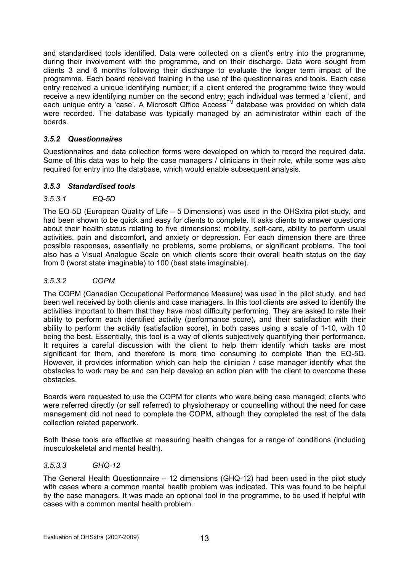and standardised tools identified. Data were collected on a client's entry into the programme, during their involvement with the programme, and on their discharge. Data were sought from clients 3 and 6 months following their discharge to evaluate the longer term impact of the programme. Each board received training in the use of the questionnaires and tools. Each case entry received a unique identifying number; if a client entered the programme twice they would receive a new identifying number on the second entry; each individual was termed a 'client', and each unique entry a 'case'. A Microsoft Office Access™ database was provided on which data were recorded. The database was typically managed by an administrator within each of the boards.

# 3.5.2 Questionnaires

Questionnaires and data collection forms were developed on which to record the required data. Some of this data was to help the case managers / clinicians in their role, while some was also required for entry into the database, which would enable subsequent analysis.

### 3.5.3 Standardised tools

# 3.5.3.1 EQ-5D

The EQ-5D (European Quality of Life – 5 Dimensions) was used in the OHSxtra pilot study, and had been shown to be quick and easy for clients to complete. It asks clients to answer questions about their health status relating to five dimensions: mobility, self-care, ability to perform usual activities, pain and discomfort, and anxiety or depression. For each dimension there are three possible responses, essentially no problems, some problems, or significant problems. The tool also has a Visual Analogue Scale on which clients score their overall health status on the day from 0 (worst state imaginable) to 100 (best state imaginable).

# 3.5.3.2 COPM

The COPM (Canadian Occupational Performance Measure) was used in the pilot study, and had been well received by both clients and case managers. In this tool clients are asked to identify the activities important to them that they have most difficulty performing. They are asked to rate their ability to perform each identified activity (performance score), and their satisfaction with their ability to perform the activity (satisfaction score), in both cases using a scale of 1-10, with 10 being the best. Essentially, this tool is a way of clients subjectively quantifying their performance. It requires a careful discussion with the client to help them identify which tasks are most significant for them, and therefore is more time consuming to complete than the EQ-5D. However, it provides information which can help the clinician  $\overline{I}$  case manager identify what the obstacles to work may be and can help develop an action plan with the client to overcome these obstacles.

Boards were requested to use the COPM for clients who were being case managed; clients who were referred directly (or self referred) to physiotherapy or counselling without the need for case management did not need to complete the COPM, although they completed the rest of the data collection related paperwork.

Both these tools are effective at measuring health changes for a range of conditions (including musculoskeletal and mental health).

### 3.5.3.3 GHQ-12

The General Health Questionnaire – 12 dimensions (GHQ-12) had been used in the pilot study with cases where a common mental health problem was indicated. This was found to be helpful by the case managers. It was made an optional tool in the programme, to be used if helpful with cases with a common mental health problem.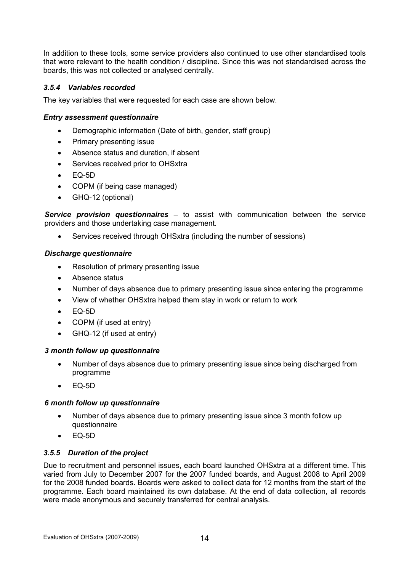In addition to these tools, some service providers also continued to use other standardised tools that were relevant to the health condition / discipline. Since this was not standardised across the boards, this was not collected or analysed centrally.

# 3.5.4 Variables recorded

The key variables that were requested for each case are shown below.

# Entry assessment questionnaire

- Demographic information (Date of birth, gender, staff group)
- Primary presenting issue
- Absence status and duration, if absent
- Services received prior to OHSxtra
- EQ-5D
- COPM (if being case managed)
- GHQ-12 (optional)

Service provision questionnaires – to assist with communication between the service providers and those undertaking case management.

Services received through OHSxtra (including the number of sessions)

# Discharge questionnaire

- Resolution of primary presenting issue
- Absence status
- Number of days absence due to primary presenting issue since entering the programme
- View of whether OHSxtra helped them stay in work or return to work
- $FQ-5D$
- COPM (if used at entry)
- GHQ-12 (if used at entry)

### 3 month follow up questionnaire

- Number of days absence due to primary presenting issue since being discharged from programme
- $FQ-5D$

### 6 month follow up questionnaire

- Number of days absence due to primary presenting issue since 3 month follow up questionnaire
- $\bullet$  EQ-5D

### 3.5.5 Duration of the project

Due to recruitment and personnel issues, each board launched OHSxtra at a different time. This varied from July to December 2007 for the 2007 funded boards, and August 2008 to April 2009 for the 2008 funded boards. Boards were asked to collect data for 12 months from the start of the programme. Each board maintained its own database. At the end of data collection, all records were made anonymous and securely transferred for central analysis.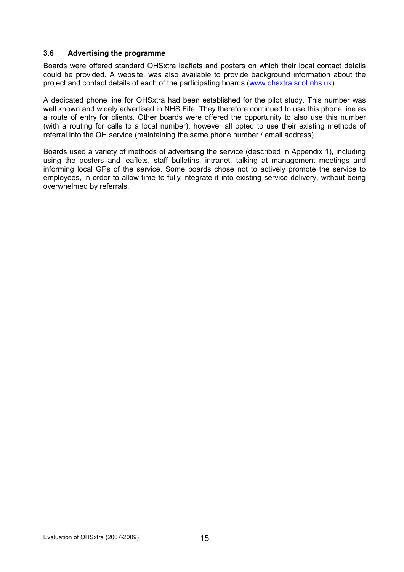#### 3.6 Advertising the programme

Boards were offered standard OHSxtra leaflets and posters on which their local contact details could be provided. A website, was also available to provide background information about the project and contact details of each of the participating boards (www.ohsxtra.scot.nhs.uk).

A dedicated phone line for OHSxtra had been established for the pilot study. This number was well known and widely advertised in NHS Fife. They therefore continued to use this phone line as a route of entry for clients. Other boards were offered the opportunity to also use this number (with a routing for calls to a local number), however all opted to use their existing methods of referral into the OH service (maintaining the same phone number / email address).

Boards used a variety of methods of advertising the service (described in Appendix 1), including using the posters and leaflets, staff bulletins, intranet, talking at management meetings and informing local GPs of the service. Some boards chose not to actively promote the service to employees, in order to allow time to fully integrate it into existing service delivery, without being overwhelmed by referrals.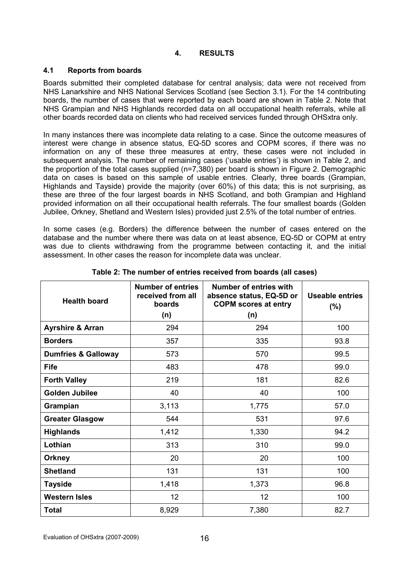# 4. RESULTS

### 4.1 Reports from boards

Boards submitted their completed database for central analysis; data were not received from NHS Lanarkshire and NHS National Services Scotland (see Section 3.1). For the 14 contributing boards, the number of cases that were reported by each board are shown in Table 2. Note that NHS Grampian and NHS Highlands recorded data on all occupational health referrals, while all other boards recorded data on clients who had received services funded through OHSxtra only.

In many instances there was incomplete data relating to a case. Since the outcome measures of interest were change in absence status, EQ-5D scores and COPM scores, if there was no information on any of these three measures at entry, these cases were not included in subsequent analysis. The number of remaining cases ('usable entries') is shown in Table 2, and the proportion of the total cases supplied (n=7,380) per board is shown in Figure 2. Demographic data on cases is based on this sample of usable entries. Clearly, three boards (Grampian, Highlands and Tayside) provide the majority (over 60%) of this data; this is not surprising, as these are three of the four largest boards in NHS Scotland, and both Grampian and Highland provided information on all their occupational health referrals. The four smallest boards (Golden Jubilee, Orkney, Shetland and Western Isles) provided just 2.5% of the total number of entries.

In some cases (e.g. Borders) the difference between the number of cases entered on the database and the number where there was data on at least absence, EQ-5D or COPM at entry was due to clients withdrawing from the programme between contacting it, and the initial assessment. In other cases the reason for incomplete data was unclear.

| <b>Health board</b>            | <b>Number of entries</b><br>received from all<br>boards<br>(n) | Number of entries with<br>absence status, EQ-5D or<br><b>COPM scores at entry</b><br>(n) | <b>Useable entries</b><br>(%) |
|--------------------------------|----------------------------------------------------------------|------------------------------------------------------------------------------------------|-------------------------------|
| <b>Ayrshire &amp; Arran</b>    | 294                                                            | 294                                                                                      | 100                           |
| <b>Borders</b>                 | 357                                                            | 335                                                                                      | 93.8                          |
| <b>Dumfries &amp; Galloway</b> | 573                                                            | 570                                                                                      | 99.5                          |
| <b>Fife</b>                    | 483                                                            | 478                                                                                      | 99.0                          |
| <b>Forth Valley</b>            | 219                                                            | 181                                                                                      | 82.6                          |
| <b>Golden Jubilee</b>          | 40                                                             | 40                                                                                       | 100                           |
| Grampian                       | 3,113                                                          | 1,775                                                                                    | 57.0                          |
| <b>Greater Glasgow</b>         | 544                                                            | 531                                                                                      | 97.6                          |
| <b>Highlands</b>               | 1,412                                                          | 1,330                                                                                    | 94.2                          |
| Lothian                        | 313                                                            | 310                                                                                      | 99.0                          |
| <b>Orkney</b>                  | 20                                                             | 20                                                                                       | 100                           |
| <b>Shetland</b>                | 131                                                            | 131                                                                                      | 100                           |
| <b>Tayside</b>                 | 1,418                                                          | 1,373                                                                                    | 96.8                          |
| <b>Western Isles</b>           | 12                                                             | 12                                                                                       | 100                           |
| <b>Total</b>                   | 8,929                                                          | 7,380                                                                                    | 82.7                          |

Table 2: The number of entries received from boards (all cases)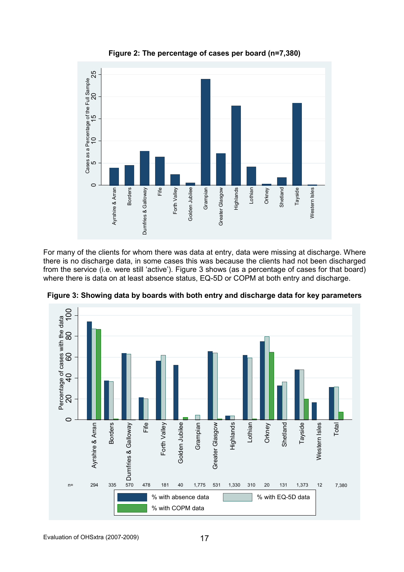

Figure 2: The percentage of cases per board (n=7,380)

For many of the clients for whom there was data at entry, data were missing at discharge. Where there is no discharge data, in some cases this was because the clients had not been discharged from the service (i.e. were still 'active'). Figure 3 shows (as a percentage of cases for that board) where there is data on at least absence status, EQ-5D or COPM at both entry and discharge.



Figure 3: Showing data by boards with both entry and discharge data for key parameters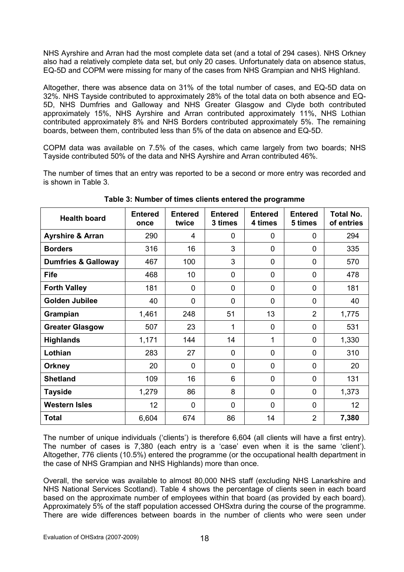NHS Ayrshire and Arran had the most complete data set (and a total of 294 cases). NHS Orkney also had a relatively complete data set, but only 20 cases. Unfortunately data on absence status, EQ-5D and COPM were missing for many of the cases from NHS Grampian and NHS Highland.

Altogether, there was absence data on 31% of the total number of cases, and EQ-5D data on 32%. NHS Tayside contributed to approximately 28% of the total data on both absence and EQ-5D, NHS Dumfries and Galloway and NHS Greater Glasgow and Clyde both contributed approximately 15%, NHS Ayrshire and Arran contributed approximately 11%, NHS Lothian contributed approximately 8% and NHS Borders contributed approximately 5%. The remaining boards, between them, contributed less than 5% of the data on absence and EQ-5D.

COPM data was available on 7.5% of the cases, which came largely from two boards; NHS Tayside contributed 50% of the data and NHS Ayrshire and Arran contributed 46%.

The number of times that an entry was reported to be a second or more entry was recorded and is shown in Table 3.

| <b>Health board</b>            | <b>Entered</b><br>once | <b>Entered</b><br>twice | <b>Entered</b><br>3 times | <b>Entered</b><br>4 times | <b>Entered</b><br>5 times | <b>Total No.</b><br>of entries |
|--------------------------------|------------------------|-------------------------|---------------------------|---------------------------|---------------------------|--------------------------------|
| <b>Ayrshire &amp; Arran</b>    | 290                    | 4                       | $\Omega$                  | 0                         | 0                         | 294                            |
| <b>Borders</b>                 | 316                    | 16                      | 3                         | $\overline{0}$            | $\overline{0}$            | 335                            |
| <b>Dumfries &amp; Galloway</b> | 467                    | 100                     | 3                         | 0                         | 0                         | 570                            |
| <b>Fife</b>                    | 468                    | 10                      | $\overline{0}$            | $\overline{0}$            | 0                         | 478                            |
| <b>Forth Valley</b>            | 181                    | $\overline{0}$          | 0                         | $\overline{0}$            | 0                         | 181                            |
| <b>Golden Jubilee</b>          | 40                     | $\overline{0}$          | $\overline{0}$            | $\mathbf{0}$              | 0                         | 40                             |
| Grampian                       | 1,461                  | 248                     | 51                        | 13                        | $\overline{2}$            | 1,775                          |
| <b>Greater Glasgow</b>         | 507                    | 23                      | 1                         | $\overline{0}$            | 0                         | 531                            |
| <b>Highlands</b>               | 1,171                  | 144                     | 14                        | 1                         | 0                         | 1,330                          |
| Lothian                        | 283                    | 27                      | $\overline{0}$            | $\overline{0}$            | 0                         | 310                            |
| <b>Orkney</b>                  | 20                     | $\Omega$                | $\overline{0}$            | $\mathbf 0$               | 0                         | 20                             |
| <b>Shetland</b>                | 109                    | 16                      | 6                         | $\mathbf 0$               | 0                         | 131                            |
| <b>Tayside</b>                 | 1,279                  | 86                      | 8                         | $\overline{0}$            | 0                         | 1,373                          |
| <b>Western Isles</b>           | 12                     | $\mathbf{0}$            | $\overline{0}$            | $\overline{0}$            | 0                         | 12 <sub>2</sub>                |
| <b>Total</b>                   | 6,604                  | 674                     | 86                        | 14                        | $\overline{2}$            | 7,380                          |

Table 3: Number of times clients entered the programme

The number of unique individuals ('clients') is therefore 6,604 (all clients will have a first entry). The number of cases is 7,380 (each entry is a 'case' even when it is the same 'client'). Altogether, 776 clients (10.5%) entered the programme (or the occupational health department in the case of NHS Grampian and NHS Highlands) more than once.

Overall, the service was available to almost 80,000 NHS staff (excluding NHS Lanarkshire and NHS National Services Scotland). Table 4 shows the percentage of clients seen in each board based on the approximate number of employees within that board (as provided by each board). Approximately 5% of the staff population accessed OHSxtra during the course of the programme. There are wide differences between boards in the number of clients who were seen under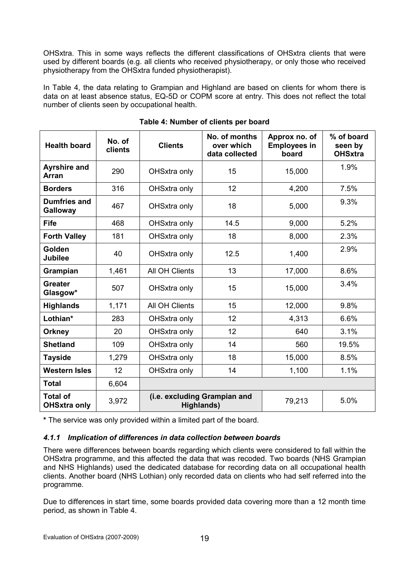OHSxtra. This in some ways reflects the different classifications of OHSxtra clients that were used by different boards (e.g. all clients who received physiotherapy, or only those who received physiotherapy from the OHSxtra funded physiotherapist).

In Table 4, the data relating to Grampian and Highland are based on clients for whom there is data on at least absence status, EQ-5D or COPM score at entry. This does not reflect the total number of clients seen by occupational health.

| <b>Health board</b>                    | No. of<br>clients           | <b>Clients</b>                             | No. of months<br>over which<br>data collected | Approx no. of<br><b>Employees in</b><br>board | % of board<br>seen by<br><b>OHSxtra</b> |
|----------------------------------------|-----------------------------|--------------------------------------------|-----------------------------------------------|-----------------------------------------------|-----------------------------------------|
| <b>Ayrshire and</b><br><b>Arran</b>    | 290                         | OHSxtra only                               | 15                                            | 15,000                                        | 1.9%                                    |
| <b>Borders</b>                         | 316                         | OHSxtra only                               | 12                                            | 4,200                                         | 7.5%                                    |
| <b>Dumfries and</b><br><b>Galloway</b> | 467<br>OHSxtra only         |                                            | 18                                            | 5,000                                         | 9.3%                                    |
| <b>Fife</b>                            | 468<br>14.5<br>OHSxtra only |                                            | 9,000                                         | 5.2%                                          |                                         |
| <b>Forth Valley</b>                    | 181                         | OHSxtra only                               | 18                                            | 8,000                                         | 2.3%                                    |
| Golden<br><b>Jubilee</b>               | 40                          |                                            | 12.5<br>1,400                                 |                                               | 2.9%                                    |
| Grampian                               | 1,461                       | All OH Clients                             | 13                                            | 17,000                                        | 8.6%                                    |
| <b>Greater</b><br>Glasgow*             | 507<br>OHSxtra only         |                                            | 15                                            | 15,000                                        | 3.4%                                    |
| <b>Highlands</b>                       | 1,171                       | All OH Clients                             | 15                                            | 12,000                                        | 9.8%                                    |
| Lothian*                               | 283                         | OHSxtra only                               | 12                                            | 4,313                                         | 6.6%                                    |
| <b>Orkney</b>                          | 20                          | OHSxtra only                               | 12                                            | 640                                           | 3.1%                                    |
| <b>Shetland</b>                        | 109                         | OHSxtra only                               | 14                                            | 560                                           | 19.5%                                   |
| <b>Tayside</b>                         | 1,279                       | OHSxtra only                               | 18                                            | 15,000                                        | 8.5%                                    |
| <b>Western Isles</b>                   | 12                          | OHSxtra only                               | 14                                            | 1,100                                         | 1.1%                                    |
| <b>Total</b>                           | 6,604                       |                                            |                                               |                                               |                                         |
| <b>Total of</b><br><b>OHSxtra only</b> | 3,972                       | (i.e. excluding Grampian and<br>Highlands) |                                               | 79,213                                        | 5.0%                                    |

|  | Table 4: Number of clients per board |  |  |
|--|--------------------------------------|--|--|
|  |                                      |  |  |

\* The service was only provided within a limited part of the board.

# 4.1.1 Implication of differences in data collection between boards

There were differences between boards regarding which clients were considered to fall within the OHSxtra programme, and this affected the data that was recoded. Two boards (NHS Grampian and NHS Highlands) used the dedicated database for recording data on all occupational health clients. Another board (NHS Lothian) only recorded data on clients who had self referred into the programme.

Due to differences in start time, some boards provided data covering more than a 12 month time period, as shown in Table 4.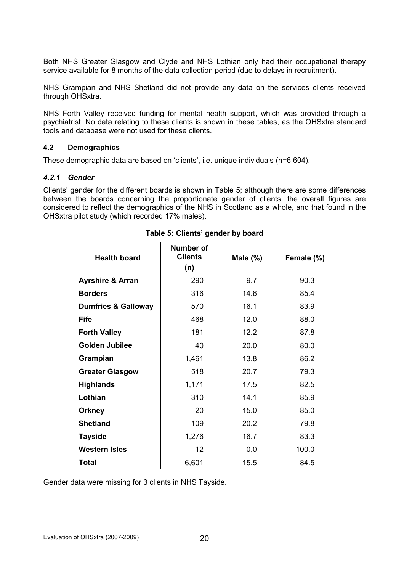Both NHS Greater Glasgow and Clyde and NHS Lothian only had their occupational therapy service available for 8 months of the data collection period (due to delays in recruitment).

NHS Grampian and NHS Shetland did not provide any data on the services clients received through OHSxtra.

NHS Forth Valley received funding for mental health support, which was provided through a psychiatrist. No data relating to these clients is shown in these tables, as the OHSxtra standard tools and database were not used for these clients.

### 4.2 Demographics

These demographic data are based on 'clients', i.e. unique individuals (n=6,604).

### 4.2.1 Gender

Clients' gender for the different boards is shown in Table 5; although there are some differences between the boards concerning the proportionate gender of clients, the overall figures are considered to reflect the demographics of the NHS in Scotland as a whole, and that found in the OHSxtra pilot study (which recorded 17% males).

| <b>Health board</b>            | Number of<br><b>Clients</b><br>(n) | Male $(\%)$ | Female (%) |
|--------------------------------|------------------------------------|-------------|------------|
| <b>Ayrshire &amp; Arran</b>    | 290                                | 9.7         | 90.3       |
| <b>Borders</b>                 | 316                                | 14.6        | 85.4       |
| <b>Dumfries &amp; Galloway</b> | 570                                | 16.1        | 83.9       |
| <b>Fife</b>                    | 468                                | 12.0        | 88.0       |
| <b>Forth Valley</b>            | 181                                | 12.2        | 87.8       |
| <b>Golden Jubilee</b>          | 40                                 | 20.0        | 80.0       |
| Grampian                       | 1,461                              | 13.8        | 86.2       |
| <b>Greater Glasgow</b>         | 518                                | 20.7        | 79.3       |
| <b>Highlands</b>               | 1,171                              | 17.5        | 82.5       |
| Lothian                        | 310                                | 14.1        | 85.9       |
| <b>Orkney</b>                  | 20                                 | 15.0        | 85.0       |
| <b>Shetland</b>                | 109                                | 20.2        | 79.8       |
| <b>Tayside</b>                 | 1,276                              | 16.7        | 83.3       |
| <b>Western Isles</b>           | 12                                 | 0.0         | 100.0      |
| Total                          | 6,601                              | 15.5        | 84.5       |

# Table 5: Clients' gender by board

Gender data were missing for 3 clients in NHS Tayside.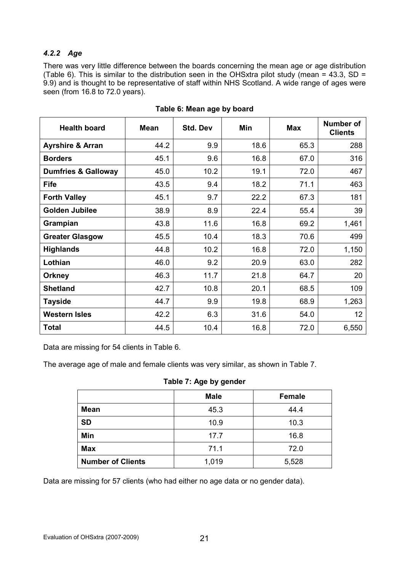# 4.2.2 Age

There was very little difference between the boards concerning the mean age or age distribution (Table 6). This is similar to the distribution seen in the OHSxtra pilot study (mean = 43.3, SD = 9.9) and is thought to be representative of staff within NHS Scotland. A wide range of ages were seen (from 16.8 to 72.0 years).

| <b>Health board</b>            | <b>Mean</b> | <b>Std. Dev</b> | <b>Min</b> | <b>Max</b> | <b>Number of</b><br><b>Clients</b> |
|--------------------------------|-------------|-----------------|------------|------------|------------------------------------|
| <b>Ayrshire &amp; Arran</b>    | 44.2        | 9.9             | 18.6       | 65.3       | 288                                |
| <b>Borders</b>                 | 45.1        | 9.6             | 16.8       | 67.0       | 316                                |
| <b>Dumfries &amp; Galloway</b> | 45.0        | 10.2            | 19.1       | 72.0       | 467                                |
| <b>Fife</b>                    | 43.5        | 9.4             | 18.2       | 71.1       | 463                                |
| <b>Forth Valley</b>            | 45.1        | 9.7             | 22.2       | 67.3       | 181                                |
| <b>Golden Jubilee</b>          | 38.9        | 8.9             | 22.4       | 55.4       | 39                                 |
| Grampian                       | 43.8        | 11.6            | 16.8       | 69.2       | 1,461                              |
| <b>Greater Glasgow</b>         | 45.5        | 10.4            | 18.3       | 70.6       | 499                                |
| <b>Highlands</b>               | 44.8        | 10.2            | 16.8       | 72.0       | 1,150                              |
| Lothian                        | 46.0        | 9.2             | 20.9       | 63.0       | 282                                |
| <b>Orkney</b>                  | 46.3        | 11.7            | 21.8       | 64.7       | 20                                 |
| <b>Shetland</b>                | 42.7        | 10.8            | 20.1       | 68.5       | 109                                |
| <b>Tayside</b>                 | 44.7        | 9.9             | 19.8       | 68.9       | 1,263                              |
| <b>Western Isles</b>           | 42.2        | 6.3             | 31.6       | 54.0       | 12                                 |
| <b>Total</b>                   | 44.5        | 10.4            | 16.8       | 72.0       | 6,550                              |

### Table 6: Mean age by board

Data are missing for 54 clients in Table 6.

The average age of male and female clients was very similar, as shown in Table 7.

### Table 7: Age by gender

|                          | <b>Male</b> | <b>Female</b> |
|--------------------------|-------------|---------------|
| <b>Mean</b>              | 45.3        | 44.4          |
| <b>SD</b>                | 10.9        | 10.3          |
| Min                      | 17.7        | 16.8          |
| <b>Max</b>               | 71.1        | 72.0          |
| <b>Number of Clients</b> | 1,019       | 5,528         |

Data are missing for 57 clients (who had either no age data or no gender data).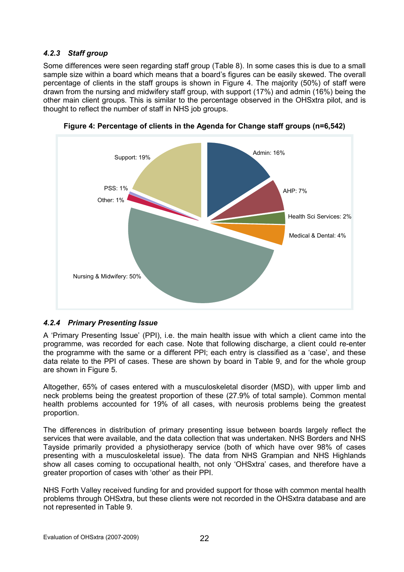# 4.2.3 Staff group

Some differences were seen regarding staff group (Table 8). In some cases this is due to a small sample size within a board which means that a board's figures can be easily skewed. The overall percentage of clients in the staff groups is shown in Figure 4. The majority (50%) of staff were drawn from the nursing and midwifery staff group, with support (17%) and admin (16%) being the other main client groups. This is similar to the percentage observed in the OHSxtra pilot, and is thought to reflect the number of staff in NHS job groups.



Figure 4: Percentage of clients in the Agenda for Change staff groups (n=6,542)

# 4.2.4 Primary Presenting Issue

A 'Primary Presenting Issue' (PPI), i.e. the main health issue with which a client came into the programme, was recorded for each case. Note that following discharge, a client could re-enter the programme with the same or a different PPI; each entry is classified as a 'case', and these data relate to the PPI of cases. These are shown by board in Table 9, and for the whole group are shown in Figure 5.

Altogether, 65% of cases entered with a musculoskeletal disorder (MSD), with upper limb and neck problems being the greatest proportion of these (27.9% of total sample). Common mental health problems accounted for 19% of all cases, with neurosis problems being the greatest proportion.

The differences in distribution of primary presenting issue between boards largely reflect the services that were available, and the data collection that was undertaken. NHS Borders and NHS Tayside primarily provided a physiotherapy service (both of which have over 98% of cases presenting with a musculoskeletal issue). The data from NHS Grampian and NHS Highlands show all cases coming to occupational health, not only 'OHSxtra' cases, and therefore have a greater proportion of cases with 'other' as their PPI.

NHS Forth Valley received funding for and provided support for those with common mental health problems through OHSxtra, but these clients were not recorded in the OHSxtra database and are not represented in Table 9.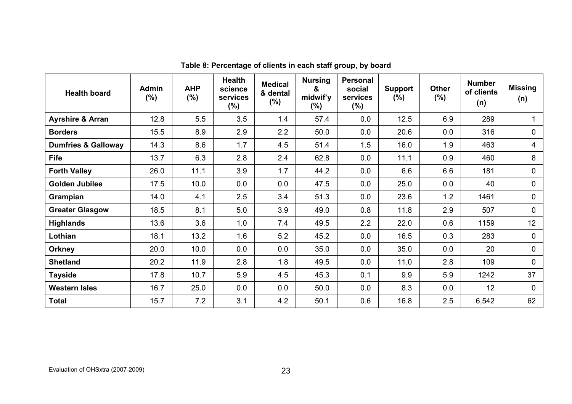| <b>Health board</b>            | <b>Admin</b><br>(%) | <b>AHP</b><br>$(\%)$ | <b>Health</b><br>science<br>services<br>$(\% )$ | <b>Medical</b><br>& dental<br>$(\%)$ | <b>Nursing</b><br>&<br>midwif'y<br>$(\% )$ | Personal<br>social<br>services<br>$(\% )$ | <b>Support</b><br>$(\% )$ | <b>Other</b><br>$(\%)$ | <b>Number</b><br>of clients<br>(n) | <b>Missing</b><br>(n) |
|--------------------------------|---------------------|----------------------|-------------------------------------------------|--------------------------------------|--------------------------------------------|-------------------------------------------|---------------------------|------------------------|------------------------------------|-----------------------|
| <b>Ayrshire &amp; Arran</b>    | 12.8                | 5.5                  | 3.5                                             | 1.4                                  | 57.4                                       | 0.0                                       | 12.5                      | 6.9                    | 289                                |                       |
| <b>Borders</b>                 | 15.5                | 8.9                  | 2.9                                             | 2.2                                  | 50.0                                       | 0.0                                       | 20.6                      | 0.0                    | 316                                | 0                     |
| <b>Dumfries &amp; Galloway</b> | 14.3                | 8.6                  | 1.7                                             | 4.5                                  | 51.4                                       | 1.5                                       | 16.0                      | 1.9                    | 463                                | 4                     |
| <b>Fife</b>                    | 13.7                | 6.3                  | 2.8                                             | 2.4                                  | 62.8                                       | 0.0                                       | 11.1                      | 0.9                    | 460                                | 8                     |
| <b>Forth Valley</b>            | 26.0                | 11.1                 | 3.9                                             | 1.7                                  | 44.2                                       | 0.0                                       | 6.6                       | 6.6                    | 181                                | $\overline{0}$        |
| <b>Golden Jubilee</b>          | 17.5                | 10.0                 | 0.0                                             | 0.0                                  | 47.5                                       | 0.0                                       | 25.0                      | 0.0                    | 40                                 | $\overline{0}$        |
| Grampian                       | 14.0                | 4.1                  | 2.5                                             | 3.4                                  | 51.3                                       | 0.0                                       | 23.6                      | 1.2                    | 1461                               | $\overline{0}$        |
| <b>Greater Glasgow</b>         | 18.5                | 8.1                  | 5.0                                             | 3.9                                  | 49.0                                       | 0.8                                       | 11.8                      | 2.9                    | 507                                | $\mathbf 0$           |
| <b>Highlands</b>               | 13.6                | 3.6                  | 1.0                                             | 7.4                                  | 49.5                                       | 2.2                                       | 22.0                      | 0.6                    | 1159                               | 12 <sup>2</sup>       |
| Lothian                        | 18.1                | 13.2                 | 1.6                                             | 5.2                                  | 45.2                                       | 0.0                                       | 16.5                      | 0.3                    | 283                                | $\mathbf 0$           |
| <b>Orkney</b>                  | 20.0                | 10.0                 | 0.0                                             | 0.0                                  | 35.0                                       | 0.0                                       | 35.0                      | 0.0                    | 20                                 | $\mathbf 0$           |
| <b>Shetland</b>                | 20.2                | 11.9                 | 2.8                                             | 1.8                                  | 49.5                                       | 0.0                                       | 11.0                      | 2.8                    | 109                                | $\mathbf 0$           |
| <b>Tayside</b>                 | 17.8                | 10.7                 | 5.9                                             | 4.5                                  | 45.3                                       | 0.1                                       | 9.9                       | 5.9                    | 1242                               | 37                    |
| <b>Western Isles</b>           | 16.7                | 25.0                 | 0.0                                             | 0.0                                  | 50.0                                       | 0.0                                       | 8.3                       | 0.0                    | 12                                 | 0                     |
| <b>Total</b>                   | 15.7                | 7.2                  | 3.1                                             | 4.2                                  | 50.1                                       | 0.6                                       | 16.8                      | 2.5                    | 6,542                              | 62                    |

Table 8: Percentage of clients in each staff group, by board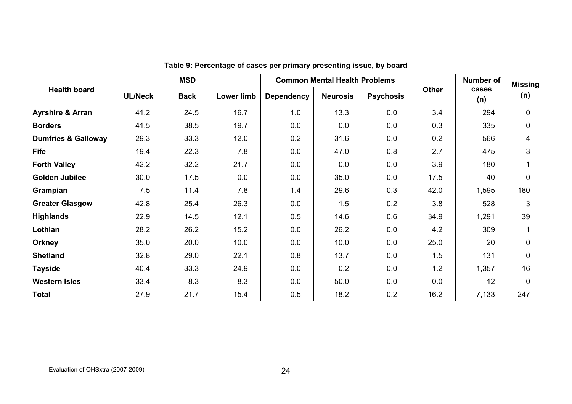|                                |                | <b>MSD</b>  |                   |                   | <b>Common Mental Health Problems</b> |                  |              | <b>Number of</b> | <b>Missing</b> |
|--------------------------------|----------------|-------------|-------------------|-------------------|--------------------------------------|------------------|--------------|------------------|----------------|
| <b>Health board</b>            | <b>UL/Neck</b> | <b>Back</b> | <b>Lower limb</b> | <b>Dependency</b> | <b>Neurosis</b>                      | <b>Psychosis</b> | <b>Other</b> | cases<br>(n)     | (n)            |
| <b>Ayrshire &amp; Arran</b>    | 41.2           | 24.5        | 16.7              | 1.0               | 13.3                                 | 0.0              | 3.4          | 294              | 0              |
| <b>Borders</b>                 | 41.5           | 38.5        | 19.7              | 0.0               | 0.0                                  | 0.0              | 0.3          | 335              | 0              |
| <b>Dumfries &amp; Galloway</b> | 29.3           | 33.3        | 12.0              | 0.2               | 31.6                                 | 0.0              | 0.2          | 566              | 4              |
| <b>Fife</b>                    | 19.4           | 22.3        | 7.8               | 0.0               | 47.0                                 | 0.8              | 2.7          | 475              | 3              |
| <b>Forth Valley</b>            | 42.2           | 32.2        | 21.7              | 0.0               | 0.0                                  | 0.0              | 3.9          | 180              | $\mathbf{1}$   |
| <b>Golden Jubilee</b>          | 30.0           | 17.5        | 0.0               | 0.0               | 35.0                                 | 0.0              | 17.5         | 40               | 0              |
| Grampian                       | 7.5            | 11.4        | 7.8               | 1.4               | 29.6                                 | 0.3              | 42.0         | 1,595            | 180            |
| <b>Greater Glasgow</b>         | 42.8           | 25.4        | 26.3              | 0.0               | 1.5                                  | 0.2              | 3.8          | 528              | 3              |
| <b>Highlands</b>               | 22.9           | 14.5        | 12.1              | 0.5               | 14.6                                 | 0.6              | 34.9         | 1,291            | 39             |
| Lothian                        | 28.2           | 26.2        | 15.2              | 0.0               | 26.2                                 | 0.0              | 4.2          | 309              | $\mathbf 1$    |
| <b>Orkney</b>                  | 35.0           | 20.0        | 10.0              | 0.0               | 10.0                                 | 0.0              | 25.0         | 20               | 0              |
| <b>Shetland</b>                | 32.8           | 29.0        | 22.1              | 0.8               | 13.7                                 | 0.0              | 1.5          | 131              | 0              |
| <b>Tayside</b>                 | 40.4           | 33.3        | 24.9              | 0.0               | 0.2                                  | 0.0              | 1.2          | 1,357            | 16             |
| <b>Western Isles</b>           | 33.4           | 8.3         | 8.3               | 0.0               | 50.0                                 | 0.0              | 0.0          | 12 <sup>2</sup>  | 0              |
| <b>Total</b>                   | 27.9           | 21.7        | 15.4              | 0.5               | 18.2                                 | 0.2              | 16.2         | 7,133            | 247            |

| Table 9: Percentage of cases per primary presenting issue, by board |  |  |  |  |  |  |
|---------------------------------------------------------------------|--|--|--|--|--|--|
|---------------------------------------------------------------------|--|--|--|--|--|--|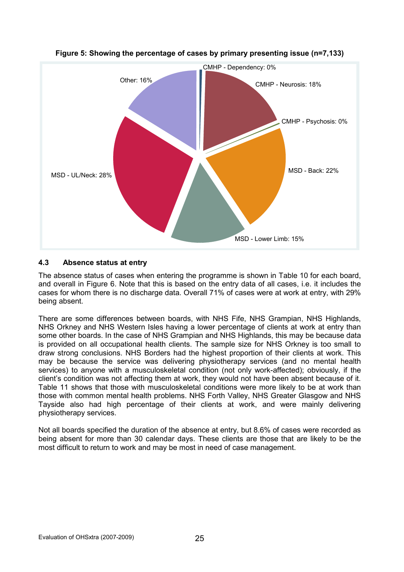

# Figure 5: Showing the percentage of cases by primary presenting issue (n=7,133)

# 4.3 Absence status at entry

The absence status of cases when entering the programme is shown in Table 10 for each board, and overall in Figure 6. Note that this is based on the entry data of all cases, i.e. it includes the cases for whom there is no discharge data. Overall 71% of cases were at work at entry, with 29% being absent.

There are some differences between boards, with NHS Fife, NHS Grampian, NHS Highlands, NHS Orkney and NHS Western Isles having a lower percentage of clients at work at entry than some other boards. In the case of NHS Grampian and NHS Highlands, this may be because data is provided on all occupational health clients. The sample size for NHS Orkney is too small to draw strong conclusions. NHS Borders had the highest proportion of their clients at work. This may be because the service was delivering physiotherapy services (and no mental health services) to anyone with a musculoskeletal condition (not only work-affected); obviously, if the client's condition was not affecting them at work, they would not have been absent because of it. Table 11 shows that those with musculoskeletal conditions were more likely to be at work than those with common mental health problems. NHS Forth Valley, NHS Greater Glasgow and NHS Tayside also had high percentage of their clients at work, and were mainly delivering physiotherapy services.

Not all boards specified the duration of the absence at entry, but 8.6% of cases were recorded as being absent for more than 30 calendar days. These clients are those that are likely to be the most difficult to return to work and may be most in need of case management.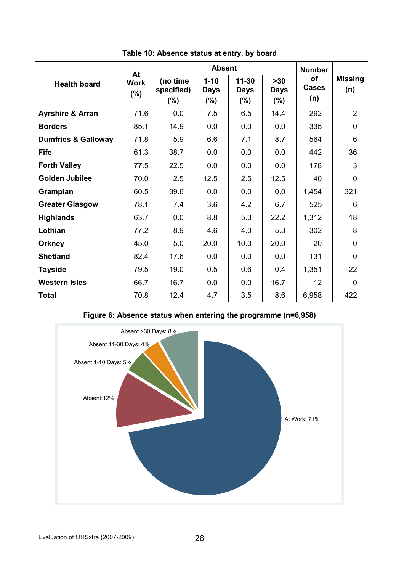|                                | At                 |                               | <b>Absent</b>                      |                                     |                                 | <b>Number</b>             |                       |
|--------------------------------|--------------------|-------------------------------|------------------------------------|-------------------------------------|---------------------------------|---------------------------|-----------------------|
| <b>Health board</b>            | <b>Work</b><br>(%) | (no time<br>specified)<br>(%) | $1 - 10$<br><b>Days</b><br>$(\% )$ | $11 - 30$<br><b>Days</b><br>$(\% )$ | $>30$<br><b>Days</b><br>$(\% )$ | of<br><b>Cases</b><br>(n) | <b>Missing</b><br>(n) |
| <b>Ayrshire &amp; Arran</b>    | 71.6               | 0.0                           | 7.5                                | 6.5                                 | 14.4                            | 292                       | $\overline{2}$        |
| <b>Borders</b>                 | 85.1               | 14.9                          | 0.0                                | 0.0                                 | 0.0                             | 335                       | 0                     |
| <b>Dumfries &amp; Galloway</b> | 71.8               | 5.9                           | 6.6                                | 7.1                                 | 8.7                             | 564                       | 6                     |
| <b>Fife</b>                    | 61.3               | 38.7                          | 0.0                                | 0.0                                 | 0.0                             | 442                       | 36                    |
| <b>Forth Valley</b>            | 77.5               | 22.5                          | 0.0                                | 0.0                                 | 0.0                             | 178                       | 3                     |
| <b>Golden Jubilee</b>          | 70.0               | 2.5                           | 12.5                               | 2.5                                 | 12.5                            | 40                        | $\overline{0}$        |
| Grampian                       | 60.5               | 39.6                          | 0.0                                | 0.0                                 | 0.0                             | 1,454                     | 321                   |
| <b>Greater Glasgow</b>         | 78.1               | 7.4                           | 3.6                                | 4.2                                 | 6.7                             | 525                       | 6                     |
| <b>Highlands</b>               | 63.7               | 0.0                           | 8.8                                | 5.3                                 | 22.2                            | 1,312                     | 18                    |
| Lothian                        | 77.2               | 8.9                           | 4.6                                | 4.0                                 | 5.3                             | 302                       | 8                     |
| <b>Orkney</b>                  | 45.0               | 5.0                           | 20.0                               | 10.0                                | 20.0                            | 20                        | $\mathbf 0$           |
| <b>Shetland</b>                | 82.4               | 17.6                          | 0.0                                | 0.0                                 | 0.0                             | 131                       | $\Omega$              |
| <b>Tayside</b>                 | 79.5               | 19.0                          | 0.5                                | 0.6                                 | 0.4                             | 1,351                     | 22                    |
| <b>Western Isles</b>           | 66.7               | 16.7                          | 0.0                                | 0.0                                 | 16.7                            | 12                        | $\mathbf{0}$          |
| <b>Total</b>                   | 70.8               | 12.4                          | 4.7                                | 3.5                                 | 8.6                             | 6,958                     | 422                   |

Table 10: Absence status at entry, by board

Figure 6: Absence status when entering the programme (n=6,958)

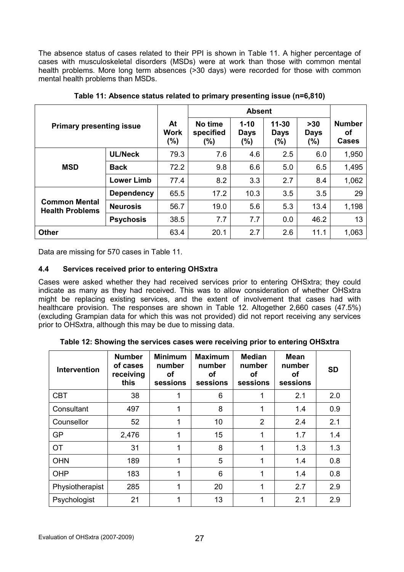The absence status of cases related to their PPI is shown in Table 11. A higher percentage of cases with musculoskeletal disorders (MSDs) were at work than those with common mental health problems. More long term absences (>30 days) were recorded for those with common mental health problems than MSDs.

|                                                |                   |                      |                                 | <b>Absent</b>                  |                                     |                                |                                     |
|------------------------------------------------|-------------------|----------------------|---------------------------------|--------------------------------|-------------------------------------|--------------------------------|-------------------------------------|
| <b>Primary presenting issue</b>                |                   | At<br>Work<br>$(\%)$ | No time<br>specified<br>$(\% )$ | $1 - 10$<br><b>Days</b><br>(%) | $11 - 30$<br><b>Days</b><br>$(\% )$ | $>30$<br><b>Days</b><br>$(\%)$ | <b>Number</b><br>οf<br><b>Cases</b> |
|                                                | <b>UL/Neck</b>    | 79.3                 | 7.6                             | 4.6                            | 2.5                                 | 6.0                            | 1,950                               |
| <b>MSD</b>                                     | <b>Back</b>       | 72.2                 | 9.8                             | 6.6                            | 5.0                                 | 6.5                            | 1,495                               |
|                                                | <b>Lower Limb</b> | 77.4                 | 8.2                             | 3.3                            | 2.7                                 | 8.4                            | 1,062                               |
|                                                | <b>Dependency</b> | 65.5                 | 17.2                            | 10.3                           | 3.5                                 | 3.5                            | 29                                  |
| <b>Common Mental</b><br><b>Health Problems</b> | <b>Neurosis</b>   | 56.7                 | 19.0                            | 5.6                            | 5.3                                 | 13.4                           | 1,198                               |
|                                                | <b>Psychosis</b>  | 38.5                 | 7.7                             | 7.7                            | 0.0                                 | 46.2                           | 13                                  |
| <b>Other</b>                                   |                   | 63.4                 | 20.1                            | 2.7                            | 2.6                                 | 11.1                           | 1,063                               |

Table 11: Absence status related to primary presenting issue (n=6,810)

Data are missing for 570 cases in Table 11.

# 4.4 Services received prior to entering OHSxtra

Cases were asked whether they had received services prior to entering OHSxtra; they could indicate as many as they had received. This was to allow consideration of whether OHSxtra might be replacing existing services, and the extent of involvement that cases had with healthcare provision. The responses are shown in Table 12. Altogether 2,660 cases (47.5%) (excluding Grampian data for which this was not provided) did not report receiving any services prior to OHSxtra, although this may be due to missing data.

Table 12: Showing the services cases were receiving prior to entering OHSxtra

| <b>Intervention</b> | <b>Number</b><br>of cases<br>receiving<br>this | <b>Minimum</b><br>number<br>οf<br>sessions | <b>Maximum</b><br>number<br>οf<br>sessions | <b>Median</b><br>number<br>οf<br>sessions | <b>Mean</b><br>number<br>οf<br>sessions | <b>SD</b> |
|---------------------|------------------------------------------------|--------------------------------------------|--------------------------------------------|-------------------------------------------|-----------------------------------------|-----------|
| <b>CBT</b>          | 38                                             | 1                                          | 6                                          | 1                                         | 2.1                                     | 2.0       |
| Consultant          | 497                                            | 1                                          | 8                                          | 1                                         | 1.4                                     | 0.9       |
| Counsellor          | 52                                             | 1                                          | 10                                         | $\overline{2}$                            | 2.4                                     | 2.1       |
| <b>GP</b>           | 2,476                                          | 1                                          | 15                                         | 1                                         | 1.7                                     | 1.4       |
| <b>OT</b>           | 31                                             | 1                                          | 8                                          | 1                                         | 1.3                                     | 1.3       |
| <b>OHN</b>          | 189                                            | 1                                          | 5                                          | 1                                         | 1.4                                     | 0.8       |
| OHP                 | 183                                            | 1                                          | 6                                          | 1                                         | 1.4                                     | 0.8       |
| Physiotherapist     | 285                                            | 1                                          | 20                                         | 1                                         | 2.7                                     | 2.9       |
| Psychologist        | 21                                             | 1                                          | 13                                         |                                           | 2.1                                     | 2.9       |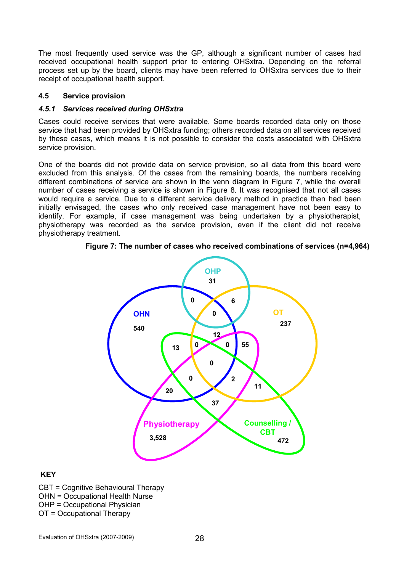The most frequently used service was the GP, although a significant number of cases had received occupational health support prior to entering OHSxtra. Depending on the referral process set up by the board, clients may have been referred to OHSxtra services due to their receipt of occupational health support.

#### 4.5 Service provision

#### 4.5.1 Services received during OHSxtra

Cases could receive services that were available. Some boards recorded data only on those service that had been provided by OHSxtra funding; others recorded data on all services received by these cases, which means it is not possible to consider the costs associated with OHSxtra service provision.

One of the boards did not provide data on service provision, so all data from this board were excluded from this analysis. Of the cases from the remaining boards, the numbers receiving different combinations of service are shown in the venn diagram in Figure 7, while the overall number of cases receiving a service is shown in Figure 8. It was recognised that not all cases would require a service. Due to a different service delivery method in practice than had been initially envisaged, the cases who only received case management have not been easy to identify. For example, if case management was being undertaken by a physiotherapist, physiotherapy was recorded as the service provision, even if the client did not receive physiotherapy treatment.

Figure 7: The number of cases who received combinations of services (n=4,964)



# **KEY**

CBT = Cognitive Behavioural Therapy OHN = Occupational Health Nurse OHP = Occupational Physician OT = Occupational Therapy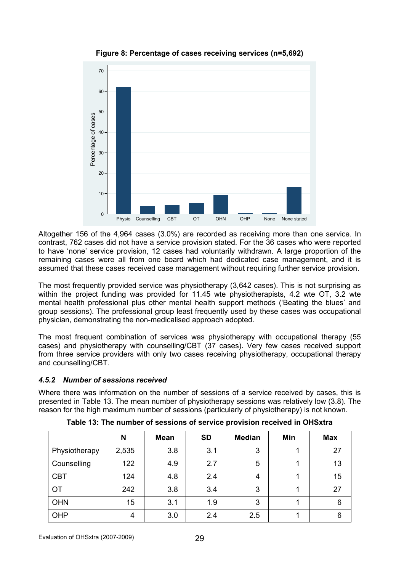

Figure 8: Percentage of cases receiving services (n=5,692)

Altogether 156 of the 4,964 cases (3.0%) are recorded as receiving more than one service. In contrast, 762 cases did not have a service provision stated. For the 36 cases who were reported to have 'none' service provision, 12 cases had voluntarily withdrawn. A large proportion of the remaining cases were all from one board which had dedicated case management, and it is assumed that these cases received case management without requiring further service provision.

The most frequently provided service was physiotherapy (3,642 cases). This is not surprising as within the project funding was provided for 11.45 wte physiotherapists, 4.2 wte OT, 3.2 wte mental health professional plus other mental health support methods ('Beating the blues' and group sessions). The professional group least frequently used by these cases was occupational physician, demonstrating the non-medicalised approach adopted.

The most frequent combination of services was physiotherapy with occupational therapy (55 cases) and physiotherapy with counselling/CBT (37 cases). Very few cases received support from three service providers with only two cases receiving physiotherapy, occupational therapy and counselling/CBT.

# 4.5.2 Number of sessions received

Where there was information on the number of sessions of a service received by cases, this is presented in Table 13. The mean number of physiotherapy sessions was relatively low (3.8). The reason for the high maximum number of sessions (particularly of physiotherapy) is not known.

|               | N     | <b>Mean</b> | <b>SD</b> | <b>Median</b> | Min | <b>Max</b> |
|---------------|-------|-------------|-----------|---------------|-----|------------|
| Physiotherapy | 2,535 | 3.8         | 3.1       | 3             |     | 27         |
| Counselling   | 122   | 4.9         | 2.7       | 5             |     | 13         |
| <b>CBT</b>    | 124   | 4.8         | 2.4       | 4             |     | 15         |
| <b>OT</b>     | 242   | 3.8         | 3.4       | 3             |     | 27         |
| <b>OHN</b>    | 15    | 3.1         | 1.9       | 3             |     | 6          |
| OHP           | 4     | 3.0         | 2.4       | 2.5           |     | 6          |

Table 13: The number of sessions of service provision received in OHSxtra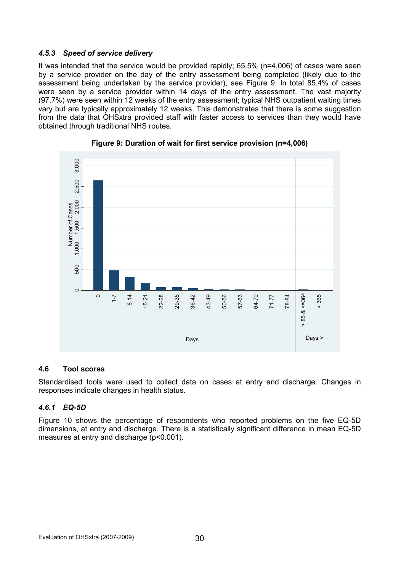# 4.5.3 Speed of service delivery

It was intended that the service would be provided rapidly; 65.5% (n=4,006) of cases were seen by a service provider on the day of the entry assessment being completed (likely due to the assessment being undertaken by the service provider), see Figure 9. In total 85.4% of cases were seen by a service provider within 14 days of the entry assessment. The vast majority (97.7%) were seen within 12 weeks of the entry assessment; typical NHS outpatient waiting times vary but are typically approximately 12 weeks. This demonstrates that there is some suggestion from the data that OHSxtra provided staff with faster access to services than they would have obtained through traditional NHS routes.





### 4.6 Tool scores

Standardised tools were used to collect data on cases at entry and discharge. Changes in responses indicate changes in health status.

# 4.6.1 EQ-5D

Figure 10 shows the percentage of respondents who reported problems on the five EQ-5D dimensions, at entry and discharge. There is a statistically significant difference in mean EQ-5D measures at entry and discharge (p<0.001).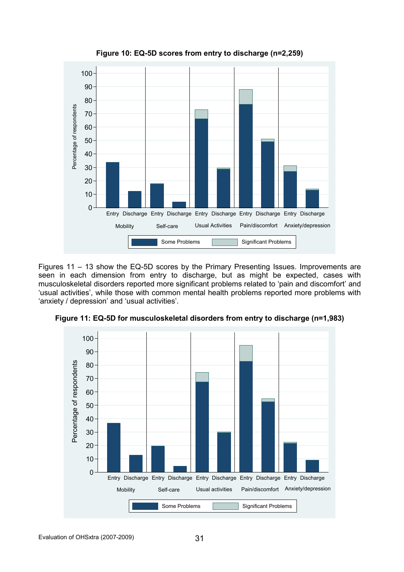

Figure 10: EQ-5D scores from entry to discharge (n=2,259)

Figures 11 – 13 show the EQ-5D scores by the Primary Presenting Issues. Improvements are seen in each dimension from entry to discharge, but as might be expected, cases with musculoskeletal disorders reported more significant problems related to 'pain and discomfort' and 'usual activities', while those with common mental health problems reported more problems with 'anxiety / depression' and 'usual activities'.



Figure 11: EQ-5D for musculoskeletal disorders from entry to discharge (n=1,983)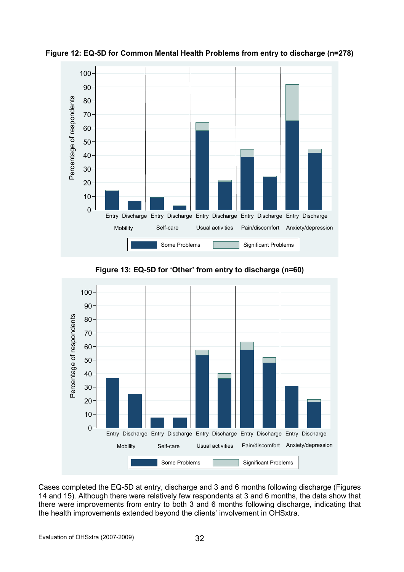

Figure 12: EQ-5D for Common Mental Health Problems from entry to discharge (n=278)

Figure 13: EQ-5D for 'Other' from entry to discharge (n=60)



Cases completed the EQ-5D at entry, discharge and 3 and 6 months following discharge (Figures 14 and 15). Although there were relatively few respondents at 3 and 6 months, the data show that there were improvements from entry to both 3 and 6 months following discharge, indicating that the health improvements extended beyond the clients' involvement in OHSxtra.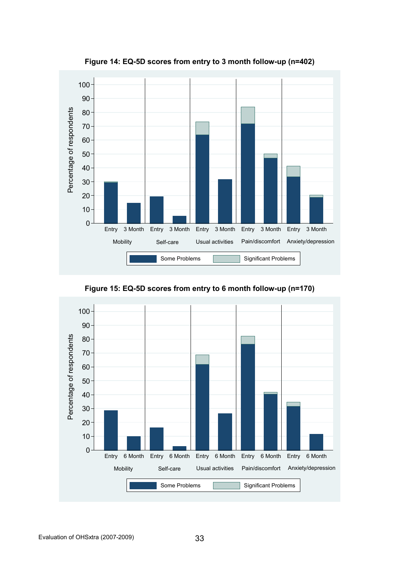

Figure 14: EQ-5D scores from entry to 3 month follow-up (n=402)

Figure 15: EQ-5D scores from entry to 6 month follow-up (n=170)

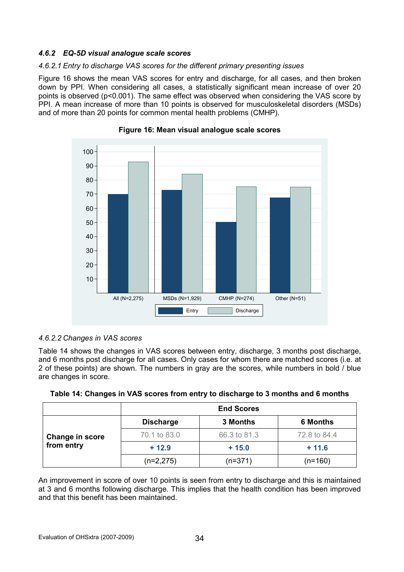# 4.6.2 EQ-5D visual analogue scale scores

### 4.6.2.1 Entry to discharge VAS scores for the different primary presenting issues

Figure 16 shows the mean VAS scores for entry and discharge, for all cases, and then broken down by PPI. When considering all cases, a statistically significant mean increase of over 20 points is observed (p<0.001). The same effect was observed when considering the VAS score by PPI. A mean increase of more than 10 points is observed for musculoskeletal disorders (MSDs) and of more than 20 points for common mental health problems (CMHP).





# 4.6.2.2 Changes in VAS scores

Table 14 shows the changes in VAS scores between entry, discharge, 3 months post discharge, and 6 months post discharge for all cases. Only cases for whom there are matched scores (i.e. at 2 of these points) are shown. The numbers in gray are the scores, while numbers in bold / blue are changes in score.

| Table 14: Changes in VAS scores from entry to discharge to 3 months and 6 months |  |
|----------------------------------------------------------------------------------|--|
|                                                                                  |  |

|                 | <b>End Scores</b> |              |                 |  |  |  |
|-----------------|-------------------|--------------|-----------------|--|--|--|
|                 | <b>Discharge</b>  | 3 Months     | <b>6 Months</b> |  |  |  |
| Change in score | 70.1 to 83.0      | 66.3 to 81.3 | 72.8 to 84.4    |  |  |  |
| from entry      | $+12.9$           | $+15.0$      | $+ 11.6$        |  |  |  |
|                 | $(n=2,275)$       | $(n=371)$    | (n=160)         |  |  |  |

An improvement in score of over 10 points is seen from entry to discharge and this is maintained at 3 and 6 months following discharge. This implies that the health condition has been improved and that this benefit has been maintained.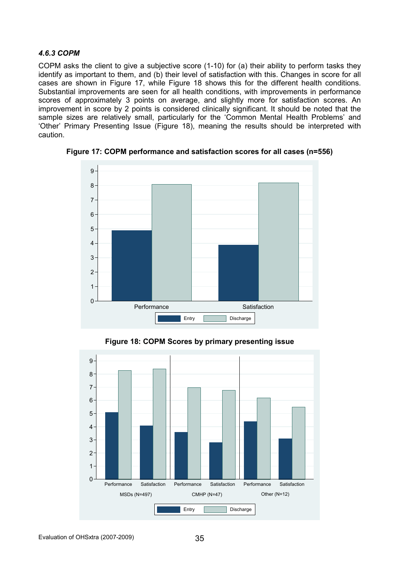#### 4.6.3 COPM

COPM asks the client to give a subjective score (1-10) for (a) their ability to perform tasks they identify as important to them, and (b) their level of satisfaction with this. Changes in score for all cases are shown in Figure 17, while Figure 18 shows this for the different health conditions. Substantial improvements are seen for all health conditions, with improvements in performance scores of approximately 3 points on average, and slightly more for satisfaction scores. An improvement in score by 2 points is considered clinically significant. It should be noted that the sample sizes are relatively small, particularly for the 'Common Mental Health Problems' and 'Other' Primary Presenting Issue (Figure 18), meaning the results should be interpreted with caution.



Figure 17: COPM performance and satisfaction scores for all cases (n=556)

Figure 18: COPM Scores by primary presenting issue

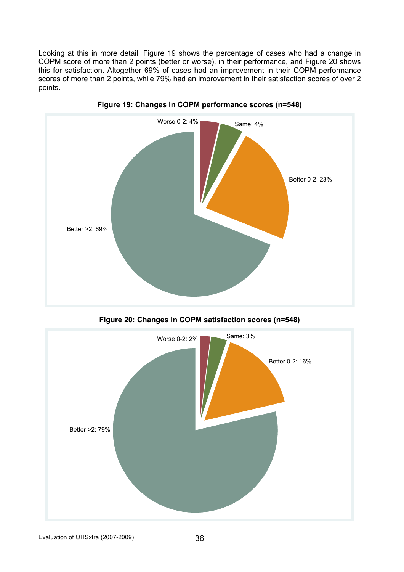Looking at this in more detail, Figure 19 shows the percentage of cases who had a change in COPM score of more than 2 points (better or worse), in their performance, and Figure 20 shows this for satisfaction. Altogether 69% of cases had an improvement in their COPM performance scores of more than 2 points, while 79% had an improvement in their satisfaction scores of over 2 points.





Figure 20: Changes in COPM satisfaction scores (n=548)

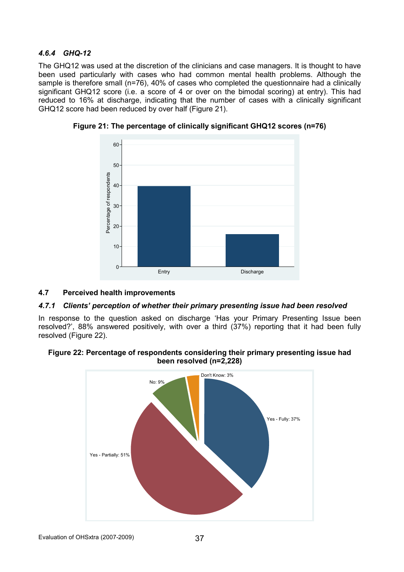# 4.6.4 GHQ-12

The GHQ12 was used at the discretion of the clinicians and case managers. It is thought to have been used particularly with cases who had common mental health problems. Although the sample is therefore small (n=76), 40% of cases who completed the questionnaire had a clinically significant GHQ12 score (i.e. a score of 4 or over on the bimodal scoring) at entry). This had reduced to 16% at discharge, indicating that the number of cases with a clinically significant GHQ12 score had been reduced by over half (Figure 21).



Figure 21: The percentage of clinically significant GHQ12 scores (n=76)

### 4.7 Perceived health improvements

### 4.7.1 Clients' perception of whether their primary presenting issue had been resolved

In response to the question asked on discharge 'Has your Primary Presenting Issue been resolved?', 88% answered positively, with over a third (37%) reporting that it had been fully resolved (Figure 22).

### Figure 22: Percentage of respondents considering their primary presenting issue had been resolved (n=2,228)

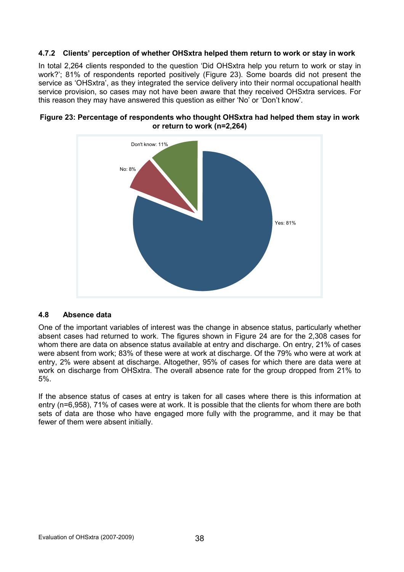### 4.7.2 Clients' perception of whether OHSxtra helped them return to work or stay in work

In total 2,264 clients responded to the question 'Did OHSxtra help you return to work or stay in work?'; 81% of respondents reported positively (Figure 23). Some boards did not present the service as 'OHSxtra', as they integrated the service delivery into their normal occupational health service provision, so cases may not have been aware that they received OHSxtra services. For this reason they may have answered this question as either 'No' or 'Don't know'.



#### Figure 23: Percentage of respondents who thought OHSxtra had helped them stay in work or return to work (n=2,264)

### 4.8 Absence data

One of the important variables of interest was the change in absence status, particularly whether absent cases had returned to work. The figures shown in Figure 24 are for the 2,308 cases for whom there are data on absence status available at entry and discharge. On entry, 21% of cases were absent from work; 83% of these were at work at discharge. Of the 79% who were at work at entry, 2% were absent at discharge. Altogether, 95% of cases for which there are data were at work on discharge from OHSxtra. The overall absence rate for the group dropped from 21% to 5%.

If the absence status of cases at entry is taken for all cases where there is this information at entry (n=6,958), 71% of cases were at work. It is possible that the clients for whom there are both sets of data are those who have engaged more fully with the programme, and it may be that fewer of them were absent initially.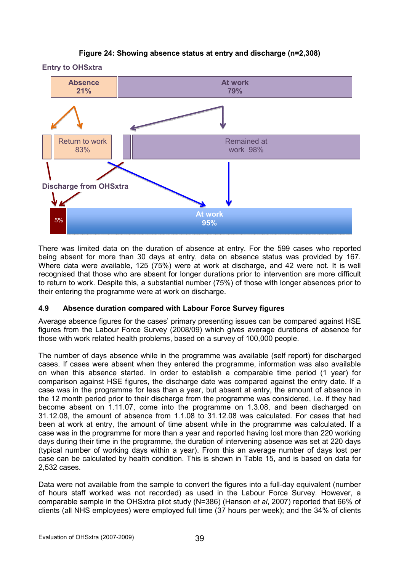# Figure 24: Showing absence status at entry and discharge (n=2,308)





There was limited data on the duration of absence at entry. For the 599 cases who reported being absent for more than 30 days at entry, data on absence status was provided by 167. Where data were available, 125 (75%) were at work at discharge, and 42 were not. It is well recognised that those who are absent for longer durations prior to intervention are more difficult to return to work. Despite this, a substantial number (75%) of those with longer absences prior to their entering the programme were at work on discharge.

### 4.9 Absence duration compared with Labour Force Survey figures

Average absence figures for the cases' primary presenting issues can be compared against HSE figures from the Labour Force Survey (2008/09) which gives average durations of absence for those with work related health problems, based on a survey of 100,000 people.

The number of days absence while in the programme was available (self report) for discharged cases. If cases were absent when they entered the programme, information was also available on when this absence started. In order to establish a comparable time period (1 year) for comparison against HSE figures, the discharge date was compared against the entry date. If a case was in the programme for less than a year, but absent at entry, the amount of absence in the 12 month period prior to their discharge from the programme was considered, i.e. if they had become absent on 1.11.07, come into the programme on 1.3.08, and been discharged on 31.12.08, the amount of absence from 1.1.08 to 31.12.08 was calculated. For cases that had been at work at entry, the amount of time absent while in the programme was calculated. If a case was in the programme for more than a year and reported having lost more than 220 working days during their time in the programme, the duration of intervening absence was set at 220 days (typical number of working days within a year). From this an average number of days lost per case can be calculated by health condition. This is shown in Table 15, and is based on data for 2,532 cases.

Data were not available from the sample to convert the figures into a full-day equivalent (number of hours staff worked was not recorded) as used in the Labour Force Survey. However, a comparable sample in the OHSxtra pilot study (N=386) (Hanson et al, 2007) reported that 66% of clients (all NHS employees) were employed full time (37 hours per week); and the 34% of clients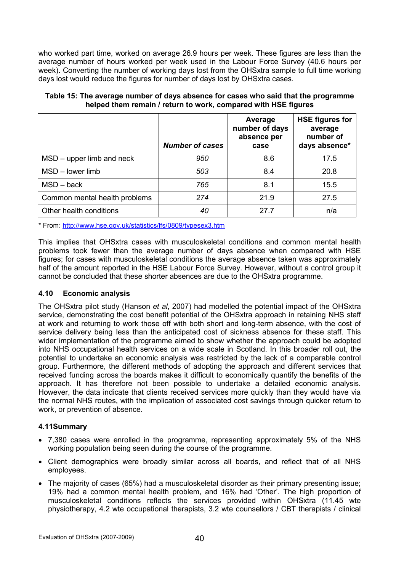who worked part time, worked on average 26.9 hours per week. These figures are less than the average number of hours worked per week used in the Labour Force Survey (40.6 hours per week). Converting the number of working days lost from the OHSxtra sample to full time working days lost would reduce the figures for number of days lost by OHSxtra cases.

|                               | <b>Number of cases</b> | Average<br>number of days<br>absence per<br>case | <b>HSE figures for</b><br>average<br>number of<br>days absence* |
|-------------------------------|------------------------|--------------------------------------------------|-----------------------------------------------------------------|
| $MSD$ – upper limb and neck   | 950                    | 8.6                                              | 17.5                                                            |
| $MSD - lower$ limb            | 503                    | 8.4                                              | 20.8                                                            |
| $MSD - back$                  | 765                    | 8.1                                              | 15.5                                                            |
| Common mental health problems | 274                    | 21.9                                             | 27.5                                                            |
| Other health conditions       | 40                     | 27 7                                             | n/a                                                             |

Table 15: The average number of days absence for cases who said that the programme helped them remain / return to work, compared with HSE figures

\* From: http://www.hse.gov.uk/statistics/lfs/0809/typesex3.htm

This implies that OHSxtra cases with musculoskeletal conditions and common mental health problems took fewer than the average number of days absence when compared with HSE figures; for cases with musculoskeletal conditions the average absence taken was approximately half of the amount reported in the HSE Labour Force Survey. However, without a control group it cannot be concluded that these shorter absences are due to the OHSxtra programme.

### 4.10 Economic analysis

The OHSxtra pilot study (Hanson et al, 2007) had modelled the potential impact of the OHSxtra service, demonstrating the cost benefit potential of the OHSxtra approach in retaining NHS staff at work and returning to work those off with both short and long-term absence, with the cost of service delivery being less than the anticipated cost of sickness absence for these staff. This wider implementation of the programme aimed to show whether the approach could be adopted into NHS occupational health services on a wide scale in Scotland. In this broader roll out, the potential to undertake an economic analysis was restricted by the lack of a comparable control group. Furthermore, the different methods of adopting the approach and different services that received funding across the boards makes it difficult to economically quantify the benefits of the approach. It has therefore not been possible to undertake a detailed economic analysis. However, the data indicate that clients received services more quickly than they would have via the normal NHS routes, with the implication of associated cost savings through quicker return to work, or prevention of absence.

### 4.11Summary

- 7,380 cases were enrolled in the programme, representing approximately 5% of the NHS working population being seen during the course of the programme.
- Client demographics were broadly similar across all boards, and reflect that of all NHS employees.
- The majority of cases (65%) had a musculoskeletal disorder as their primary presenting issue; 19% had a common mental health problem, and 16% had 'Other'. The high proportion of musculoskeletal conditions reflects the services provided within OHSxtra (11.45 wte physiotherapy, 4.2 wte occupational therapists, 3.2 wte counsellors / CBT therapists / clinical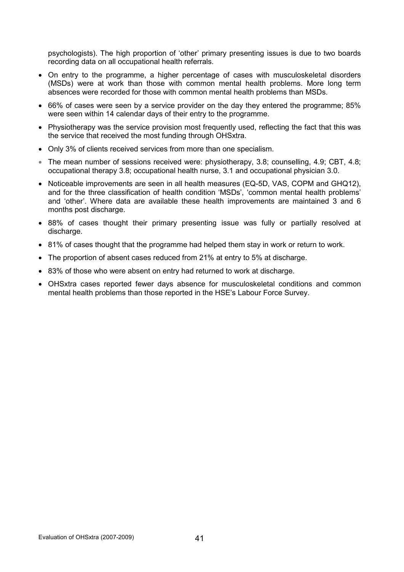psychologists). The high proportion of 'other' primary presenting issues is due to two boards recording data on all occupational health referrals.

- On entry to the programme, a higher percentage of cases with musculoskeletal disorders (MSDs) were at work than those with common mental health problems. More long term absences were recorded for those with common mental health problems than MSDs.
- 66% of cases were seen by a service provider on the day they entered the programme; 85% were seen within 14 calendar days of their entry to the programme.
- Physiotherapy was the service provision most frequently used, reflecting the fact that this was the service that received the most funding through OHSxtra.
- Only 3% of clients received services from more than one specialism.
- The mean number of sessions received were: physiotherapy, 3.8; counselling, 4.9; CBT, 4.8; occupational therapy 3.8; occupational health nurse, 3.1 and occupational physician 3.0.
- Noticeable improvements are seen in all health measures (EQ-5D, VAS, COPM and GHQ12), and for the three classification of health condition 'MSDs', 'common mental health problems' and 'other'. Where data are available these health improvements are maintained 3 and 6 months post discharge.
- 88% of cases thought their primary presenting issue was fully or partially resolved at discharge.
- 81% of cases thought that the programme had helped them stay in work or return to work.
- The proportion of absent cases reduced from 21% at entry to 5% at discharge.
- 83% of those who were absent on entry had returned to work at discharge.
- OHSxtra cases reported fewer days absence for musculoskeletal conditions and common mental health problems than those reported in the HSE's Labour Force Survey.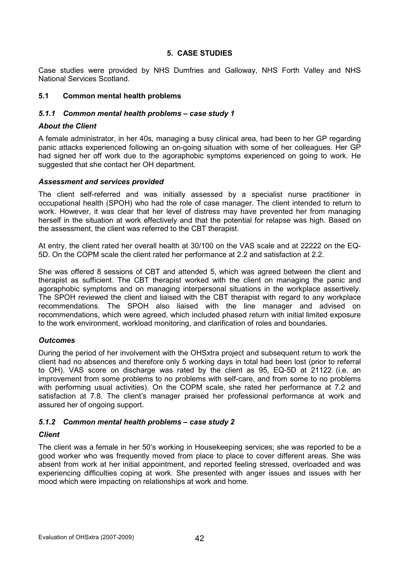# 5. CASE STUDIES

Case studies were provided by NHS Dumfries and Galloway, NHS Forth Valley and NHS National Services Scotland.

#### 5.1 Common mental health problems

#### 5.1.1 Common mental health problems – case study 1

#### About the Client

A female administrator, in her 40s, managing a busy clinical area, had been to her GP regarding panic attacks experienced following an on-going situation with some of her colleagues. Her GP had signed her off work due to the agoraphobic symptoms experienced on going to work. He suggested that she contact her OH department.

#### Assessment and services provided

The client self-referred and was initially assessed by a specialist nurse practitioner in occupational health (SPOH) who had the role of case manager. The client intended to return to work. However, it was clear that her level of distress may have prevented her from managing herself in the situation at work effectively and that the potential for relapse was high. Based on the assessment, the client was referred to the CBT therapist.

At entry, the client rated her overall health at 30/100 on the VAS scale and at 22222 on the EQ-5D. On the COPM scale the client rated her performance at 2.2 and satisfaction at 2.2.

She was offered 8 sessions of CBT and attended 5, which was agreed between the client and therapist as sufficient. The CBT therapist worked with the client on managing the panic and agoraphobic symptoms and on managing interpersonal situations in the workplace assertively. The SPOH reviewed the client and liaised with the CBT therapist with regard to any workplace recommendations. The SPOH also liaised with the line manager and advised on recommendations, which were agreed, which included phased return with initial limited exposure to the work environment, workload monitoring, and clarification of roles and boundaries.

### **Outcomes**

During the period of her involvement with the OHSxtra project and subsequent return to work the client had no absences and therefore only 5 working days in total had been lost (prior to referral to OH). VAS score on discharge was rated by the client as 95, EQ-5D at 21122 (i.e. an improvement from some problems to no problems with self-care, and from some to no problems with performing usual activities). On the COPM scale, she rated her performance at 7.2 and satisfaction at 7.8. The client's manager praised her professional performance at work and assured her of ongoing support.

### 5.1.2 Common mental health problems – case study 2

#### **Client**

The client was a female in her 50's working in Housekeeping services; she was reported to be a good worker who was frequently moved from place to place to cover different areas. She was absent from work at her initial appointment, and reported feeling stressed, overloaded and was experiencing difficulties coping at work. She presented with anger issues and issues with her mood which were impacting on relationships at work and home.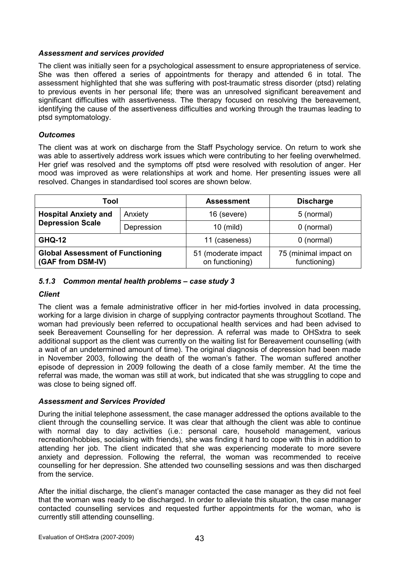#### Assessment and services provided

The client was initially seen for a psychological assessment to ensure appropriateness of service. She was then offered a series of appointments for therapy and attended 6 in total. The assessment highlighted that she was suffering with post-traumatic stress disorder (ptsd) relating to previous events in her personal life; there was an unresolved significant bereavement and significant difficulties with assertiveness. The therapy focused on resolving the bereavement, identifying the cause of the assertiveness difficulties and working through the traumas leading to ptsd symptomatology.

### **Outcomes**

The client was at work on discharge from the Staff Psychology service. On return to work she was able to assertively address work issues which were contributing to her feeling overwhelmed. Her grief was resolved and the symptoms off ptsd were resolved with resolution of anger. Her mood was improved as were relationships at work and home. Her presenting issues were all resolved. Changes in standardised tool scores are shown below.

| Tool                                                         |            | <b>Assessment</b>                      | <b>Discharge</b>                      |  |
|--------------------------------------------------------------|------------|----------------------------------------|---------------------------------------|--|
| <b>Hospital Anxiety and</b>                                  | Anxiety    | 16 (severe)                            | 5 (normal)                            |  |
| <b>Depression Scale</b>                                      | Depression | $10$ (mild)                            | $0$ (normal)                          |  |
| <b>GHQ-12</b>                                                |            | 11 (caseness)                          | $0$ (normal)                          |  |
| <b>Global Assessment of Functioning</b><br>(GAF from DSM-IV) |            | 51 (moderate impact<br>on functioning) | 75 (minimal impact on<br>functioning) |  |

### 5.1.3 Common mental health problems – case study 3

### **Client**

The client was a female administrative officer in her mid-forties involved in data processing, working for a large division in charge of supplying contractor payments throughout Scotland. The woman had previously been referred to occupational health services and had been advised to seek Bereavement Counselling for her depression. A referral was made to OHSxtra to seek additional support as the client was currently on the waiting list for Bereavement counselling (with a wait of an undetermined amount of time). The original diagnosis of depression had been made in November 2003, following the death of the woman's father. The woman suffered another episode of depression in 2009 following the death of a close family member. At the time the referral was made, the woman was still at work, but indicated that she was struggling to cope and was close to being signed off.

### Assessment and Services Provided

During the initial telephone assessment, the case manager addressed the options available to the client through the counselling service. It was clear that although the client was able to continue with normal day to day activities (i.e.: personal care, household management, various recreation/hobbies, socialising with friends), she was finding it hard to cope with this in addition to attending her job. The client indicated that she was experiencing moderate to more severe anxiety and depression. Following the referral, the woman was recommended to receive counselling for her depression. She attended two counselling sessions and was then discharged from the service.

After the initial discharge, the client's manager contacted the case manager as they did not feel that the woman was ready to be discharged. In order to alleviate this situation, the case manager contacted counselling services and requested further appointments for the woman, who is currently still attending counselling.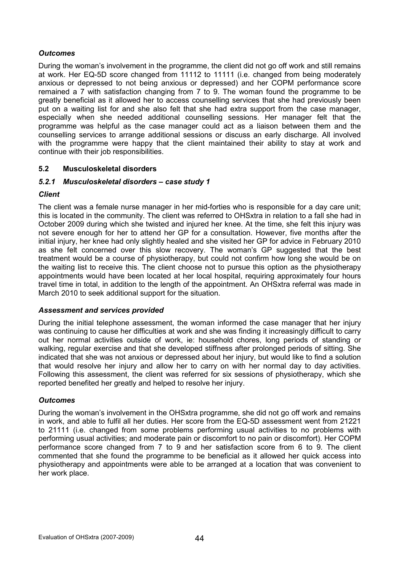# **Outcomes**

During the woman's involvement in the programme, the client did not go off work and still remains at work. Her EQ-5D score changed from 11112 to 11111 (i.e. changed from being moderately anxious or depressed to not being anxious or depressed) and her COPM performance score remained a 7 with satisfaction changing from 7 to 9. The woman found the programme to be greatly beneficial as it allowed her to access counselling services that she had previously been put on a waiting list for and she also felt that she had extra support from the case manager, especially when she needed additional counselling sessions. Her manager felt that the programme was helpful as the case manager could act as a liaison between them and the counselling services to arrange additional sessions or discuss an early discharge. All involved with the programme were happy that the client maintained their ability to stay at work and continue with their job responsibilities.

# 5.2 Musculoskeletal disorders

### 5.2.1 Musculoskeletal disorders – case study 1

### **Client**

The client was a female nurse manager in her mid-forties who is responsible for a day care unit; this is located in the community. The client was referred to OHSxtra in relation to a fall she had in October 2009 during which she twisted and injured her knee. At the time, she felt this injury was not severe enough for her to attend her GP for a consultation. However, five months after the initial injury, her knee had only slightly healed and she visited her GP for advice in February 2010 as she felt concerned over this slow recovery. The woman's GP suggested that the best treatment would be a course of physiotherapy, but could not confirm how long she would be on the waiting list to receive this. The client choose not to pursue this option as the physiotherapy appointments would have been located at her local hospital, requiring approximately four hours travel time in total, in addition to the length of the appointment. An OHSxtra referral was made in March 2010 to seek additional support for the situation.

### Assessment and services provided

During the initial telephone assessment, the woman informed the case manager that her injury was continuing to cause her difficulties at work and she was finding it increasingly difficult to carry out her normal activities outside of work, ie: household chores, long periods of standing or walking, regular exercise and that she developed stiffness after prolonged periods of sitting. She indicated that she was not anxious or depressed about her injury, but would like to find a solution that would resolve her injury and allow her to carry on with her normal day to day activities. Following this assessment, the client was referred for six sessions of physiotherapy, which she reported benefited her greatly and helped to resolve her injury.

### **Outcomes**

During the woman's involvement in the OHSxtra programme, she did not go off work and remains in work, and able to fulfil all her duties. Her score from the EQ-5D assessment went from 21221 to 21111 (i.e. changed from some problems performing usual activities to no problems with performing usual activities; and moderate pain or discomfort to no pain or discomfort). Her COPM performance score changed from 7 to 9 and her satisfaction score from 6 to 9. The client commented that she found the programme to be beneficial as it allowed her quick access into physiotherapy and appointments were able to be arranged at a location that was convenient to her work place.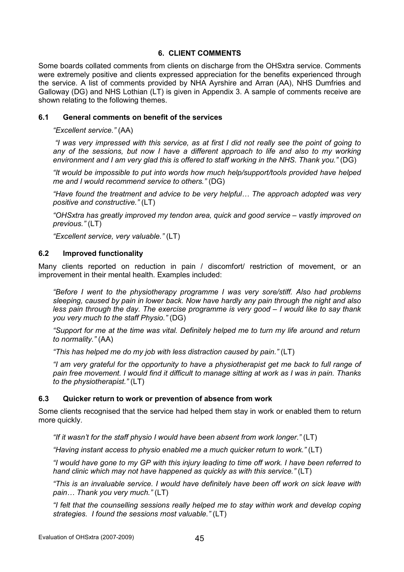#### 6. CLIENT COMMENTS

Some boards collated comments from clients on discharge from the OHSxtra service. Comments were extremely positive and clients expressed appreciation for the benefits experienced through the service. A list of comments provided by NHA Ayrshire and Arran (AA), NHS Dumfries and Galloway (DG) and NHS Lothian (LT) is given in Appendix 3. A sample of comments receive are shown relating to the following themes.

#### 6.1 General comments on benefit of the services

"Excellent service." (AA)

 "I was very impressed with this service, as at first I did not really see the point of going to any of the sessions, but now I have a different approach to life and also to my working environment and I am very glad this is offered to staff working in the NHS. Thank you." (DG)

"It would be impossible to put into words how much help/support/tools provided have helped me and I would recommend service to others." (DG)

"Have found the treatment and advice to be very helpful… The approach adopted was very positive and constructive." (LT)

"OHSxtra has greatly improved my tendon area, quick and good service – vastly improved on previous." (LT)

"Excellent service, very valuable." (LT)

#### 6.2 Improved functionality

Many clients reported on reduction in pain / discomfort/ restriction of movement, or an improvement in their mental health. Examples included:

"Before I went to the physiotherapy programme I was very sore/stiff. Also had problems sleeping, caused by pain in lower back. Now have hardly any pain through the night and also less pain through the day. The exercise programme is very good – I would like to say thank you very much to the staff Physio." (DG)

"Support for me at the time was vital. Definitely helped me to turn my life around and return to normality." (AA)

"This has helped me do my job with less distraction caused by pain." (LT)

"I am very grateful for the opportunity to have a physiotherapist get me back to full range of pain free movement. I would find it difficult to manage sitting at work as I was in pain. Thanks to the physiotherapist." (LT)

#### 6.3 Quicker return to work or prevention of absence from work

Some clients recognised that the service had helped them stay in work or enabled them to return more quickly.

"If it wasn't for the staff physio I would have been absent from work longer." (LT)

"Having instant access to physio enabled me a much quicker return to work." (LT)

"I would have gone to my GP with this injury leading to time off work. I have been referred to hand clinic which may not have happened as quickly as with this service." (LT)

"This is an invaluable service. I would have definitely have been off work on sick leave with pain… Thank you very much." (LT)

"I felt that the counselling sessions really helped me to stay within work and develop coping strategies. I found the sessions most valuable." (LT)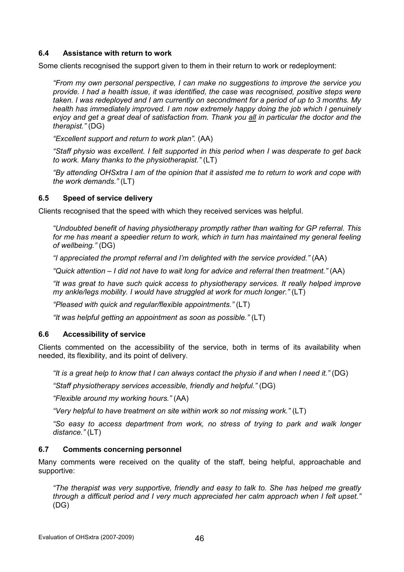### 6.4 Assistance with return to work

Some clients recognised the support given to them in their return to work or redeployment:

"From my own personal perspective, I can make no suggestions to improve the service you provide. I had a health issue, it was identified, the case was recognised, positive steps were taken. I was redeployed and I am currently on secondment for a period of up to 3 months. My health has immediately improved. I am now extremely happy doing the job which I genuinely enjoy and get a great deal of satisfaction from. Thank you all in particular the doctor and the therapist." (DG)

"Excellent support and return to work plan". (AA)

"Staff physio was excellent. I felt supported in this period when I was desperate to get back to work. Many thanks to the physiotherapist." (LT)

"By attending OHSxtra I am of the opinion that it assisted me to return to work and cope with the work demands." (LT)

### 6.5 Speed of service delivery

Clients recognised that the speed with which they received services was helpful.

"Undoubted benefit of having physiotherapy promptly rather than waiting for GP referral. This for me has meant a speedier return to work, which in turn has maintained my general feeling of wellbeing." (DG)

"I appreciated the prompt referral and I'm delighted with the service provided." (AA)

"Quick attention – I did not have to wait long for advice and referral then treatment." (AA)

"It was great to have such quick access to physiotherapy services. It really helped improve my ankle/legs mobility. I would have struggled at work for much longer." (LT)

"Pleased with quick and regular/flexible appointments." (LT)

"It was helpful getting an appointment as soon as possible." (LT)

### 6.6 Accessibility of service

Clients commented on the accessibility of the service, both in terms of its availability when needed, its flexibility, and its point of delivery.

"It is a great help to know that I can always contact the physio if and when I need it." (DG)

"Staff physiotherapy services accessible, friendly and helpful." (DG)

"Flexible around my working hours." (AA)

"Very helpful to have treatment on site within work so not missing work." (LT)

"So easy to access department from work, no stress of trying to park and walk longer distance." (LT)

### 6.7 Comments concerning personnel

Many comments were received on the quality of the staff, being helpful, approachable and supportive:

"The therapist was very supportive, friendly and easy to talk to. She has helped me greatly through a difficult period and I very much appreciated her calm approach when I felt upset." (DG)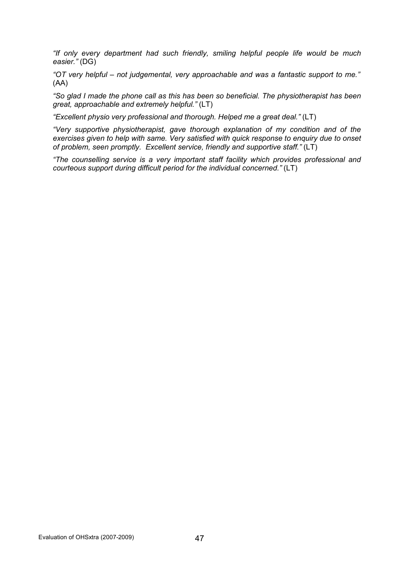"If only every department had such friendly, smiling helpful people life would be much easier." (DG)

"OT very helpful – not judgemental, very approachable and was a fantastic support to me." (AA)

"So glad I made the phone call as this has been so beneficial. The physiotherapist has been great, approachable and extremely helpful." (LT)

"Excellent physio very professional and thorough. Helped me a great deal." (LT)

"Very supportive physiotherapist, gave thorough explanation of my condition and of the exercises given to help with same. Very satisfied with quick response to enquiry due to onset of problem, seen promptly. Excellent service, friendly and supportive staff." (LT)

"The counselling service is a very important staff facility which provides professional and courteous support during difficult period for the individual concerned." (LT)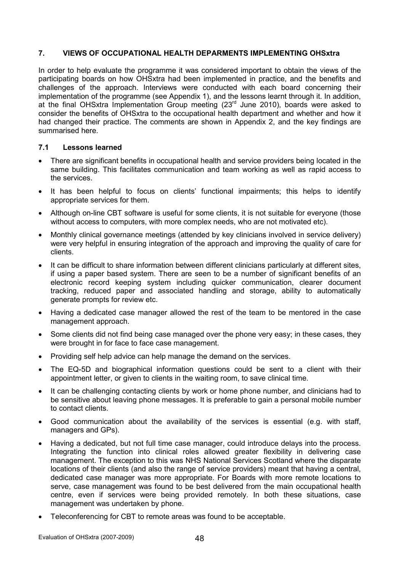### 7. VIEWS OF OCCUPATIONAL HEALTH DEPARMENTS IMPLEMENTING OHSxtra

In order to help evaluate the programme it was considered important to obtain the views of the participating boards on how OHSxtra had been implemented in practice, and the benefits and challenges of the approach. Interviews were conducted with each board concerning their implementation of the programme (see Appendix 1), and the lessons learnt through it. In addition, at the final OHSxtra Implementation Group meeting (23rd June 2010), boards were asked to consider the benefits of OHSxtra to the occupational health department and whether and how it had changed their practice. The comments are shown in Appendix 2, and the key findings are summarised here.

### 7.1 Lessons learned

- There are significant benefits in occupational health and service providers being located in the same building. This facilitates communication and team working as well as rapid access to the services.
- It has been helpful to focus on clients' functional impairments; this helps to identify appropriate services for them.
- Although on-line CBT software is useful for some clients, it is not suitable for everyone (those without access to computers, with more complex needs, who are not motivated etc).
- Monthly clinical governance meetings (attended by key clinicians involved in service delivery) were very helpful in ensuring integration of the approach and improving the quality of care for clients.
- It can be difficult to share information between different clinicians particularly at different sites, if using a paper based system. There are seen to be a number of significant benefits of an electronic record keeping system including quicker communication, clearer document tracking, reduced paper and associated handling and storage, ability to automatically generate prompts for review etc.
- Having a dedicated case manager allowed the rest of the team to be mentored in the case management approach.
- Some clients did not find being case managed over the phone very easy; in these cases, they were brought in for face to face case management.
- Providing self help advice can help manage the demand on the services.
- The EQ-5D and biographical information questions could be sent to a client with their appointment letter, or given to clients in the waiting room, to save clinical time.
- It can be challenging contacting clients by work or home phone number, and clinicians had to be sensitive about leaving phone messages. It is preferable to gain a personal mobile number to contact clients.
- Good communication about the availability of the services is essential (e.g. with staff, managers and GPs).
- Having a dedicated, but not full time case manager, could introduce delays into the process. Integrating the function into clinical roles allowed greater flexibility in delivering case management. The exception to this was NHS National Services Scotland where the disparate locations of their clients (and also the range of service providers) meant that having a central, dedicated case manager was more appropriate. For Boards with more remote locations to serve, case management was found to be best delivered from the main occupational health centre, even if services were being provided remotely. In both these situations, case management was undertaken by phone.
- Teleconferencing for CBT to remote areas was found to be acceptable.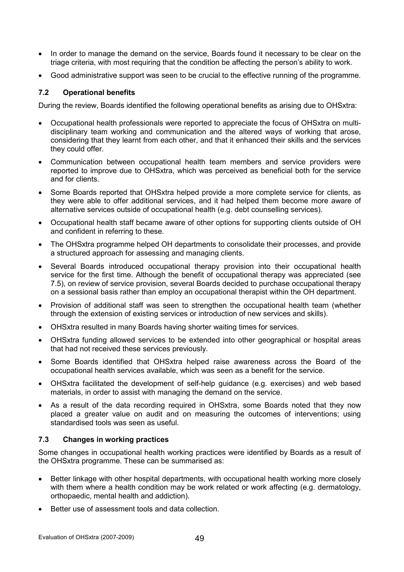- In order to manage the demand on the service, Boards found it necessary to be clear on the triage criteria, with most requiring that the condition be affecting the person's ability to work.
- Good administrative support was seen to be crucial to the effective running of the programme.

# 7.2 Operational benefits

During the review, Boards identified the following operational benefits as arising due to OHSxtra:

- Occupational health professionals were reported to appreciate the focus of OHSxtra on multidisciplinary team working and communication and the altered ways of working that arose, considering that they learnt from each other, and that it enhanced their skills and the services they could offer.
- Communication between occupational health team members and service providers were reported to improve due to OHSxtra, which was perceived as beneficial both for the service and for clients.
- Some Boards reported that OHSxtra helped provide a more complete service for clients, as they were able to offer additional services, and it had helped them become more aware of alternative services outside of occupational health (e.g. debt counselling services).
- Occupational health staff became aware of other options for supporting clients outside of OH and confident in referring to these.
- The OHSxtra programme helped OH departments to consolidate their processes, and provide a structured approach for assessing and managing clients.
- Several Boards introduced occupational therapy provision into their occupational health service for the first time. Although the benefit of occupational therapy was appreciated (see 7.5), on review of service provision, several Boards decided to purchase occupational therapy on a sessional basis rather than employ an occupational therapist within the OH department.
- Provision of additional staff was seen to strengthen the occupational health team (whether through the extension of existing services or introduction of new services and skills).
- OHSxtra resulted in many Boards having shorter waiting times for services.
- OHSxtra funding allowed services to be extended into other geographical or hospital areas that had not received these services previously.
- Some Boards identified that OHSxtra helped raise awareness across the Board of the occupational health services available, which was seen as a benefit for the service.
- OHSxtra facilitated the development of self-help guidance (e.g. exercises) and web based materials, in order to assist with managing the demand on the service.
- As a result of the data recording required in OHSxtra, some Boards noted that they now placed a greater value on audit and on measuring the outcomes of interventions; using standardised tools was seen as useful.

# 7.3 Changes in working practices

Some changes in occupational health working practices were identified by Boards as a result of the OHSxtra programme. These can be summarised as:

- Better linkage with other hospital departments, with occupational health working more closely with them where a health condition may be work related or work affecting (e.g. dermatology, orthopaedic, mental health and addiction).
- Better use of assessment tools and data collection.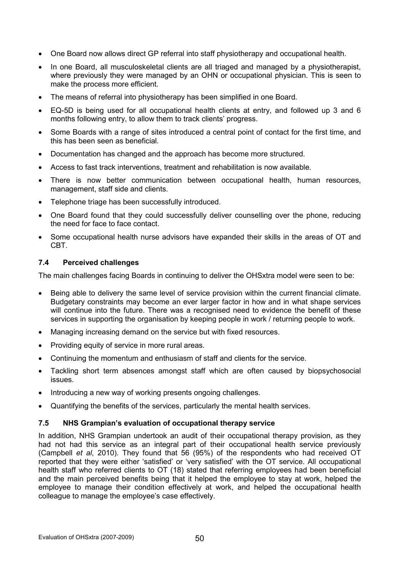- One Board now allows direct GP referral into staff physiotherapy and occupational health.
- In one Board, all musculoskeletal clients are all triaged and managed by a physiotherapist, where previously they were managed by an OHN or occupational physician. This is seen to make the process more efficient.
- The means of referral into physiotherapy has been simplified in one Board.
- EQ-5D is being used for all occupational health clients at entry, and followed up 3 and 6 months following entry, to allow them to track clients' progress.
- Some Boards with a range of sites introduced a central point of contact for the first time, and this has been seen as beneficial.
- Documentation has changed and the approach has become more structured.
- Access to fast track interventions, treatment and rehabilitation is now available.
- There is now better communication between occupational health, human resources, management, staff side and clients.
- Telephone triage has been successfully introduced.
- One Board found that they could successfully deliver counselling over the phone, reducing the need for face to face contact.
- Some occupational health nurse advisors have expanded their skills in the areas of OT and CBT.

#### 7.4 Perceived challenges

The main challenges facing Boards in continuing to deliver the OHSxtra model were seen to be:

- Being able to delivery the same level of service provision within the current financial climate. Budgetary constraints may become an ever larger factor in how and in what shape services will continue into the future. There was a recognised need to evidence the benefit of these services in supporting the organisation by keeping people in work / returning people to work.
- Managing increasing demand on the service but with fixed resources.
- Providing equity of service in more rural areas.
- Continuing the momentum and enthusiasm of staff and clients for the service.
- Tackling short term absences amongst staff which are often caused by biopsychosocial issues.
- Introducing a new way of working presents ongoing challenges.
- Quantifying the benefits of the services, particularly the mental health services.

### 7.5 NHS Grampian's evaluation of occupational therapy service

In addition, NHS Grampian undertook an audit of their occupational therapy provision, as they had not had this service as an integral part of their occupational health service previously (Campbell et al, 2010). They found that 56 (95%) of the respondents who had received OT reported that they were either 'satisfied' or 'very satisfied' with the OT service. All occupational health staff who referred clients to OT (18) stated that referring employees had been beneficial and the main perceived benefits being that it helped the employee to stay at work, helped the employee to manage their condition effectively at work, and helped the occupational health colleague to manage the employee's case effectively.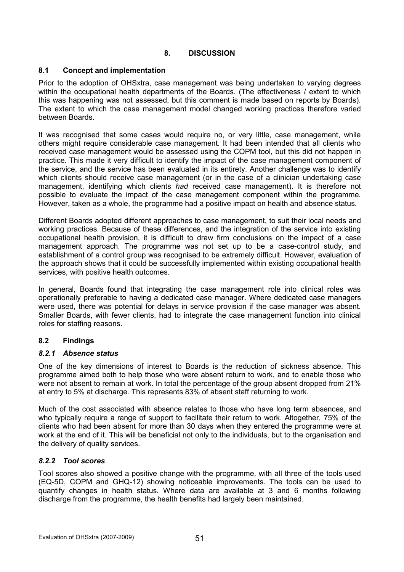# 8. DISCUSSION

# 8.1 Concept and implementation

Prior to the adoption of OHSxtra, case management was being undertaken to varying degrees within the occupational health departments of the Boards. (The effectiveness / extent to which this was happening was not assessed, but this comment is made based on reports by Boards). The extent to which the case management model changed working practices therefore varied between Boards.

It was recognised that some cases would require no, or very little, case management, while others might require considerable case management. It had been intended that all clients who received case management would be assessed using the COPM tool, but this did not happen in practice. This made it very difficult to identify the impact of the case management component of the service, and the service has been evaluated in its entirety. Another challenge was to identify which clients should receive case management (or in the case of a clinician undertaking case management, identifying which clients had received case management). It is therefore not possible to evaluate the impact of the case management component within the programme. However, taken as a whole, the programme had a positive impact on health and absence status.

Different Boards adopted different approaches to case management, to suit their local needs and working practices. Because of these differences, and the integration of the service into existing occupational health provision, it is difficult to draw firm conclusions on the impact of a case management approach. The programme was not set up to be a case-control study, and establishment of a control group was recognised to be extremely difficult. However, evaluation of the approach shows that it could be successfully implemented within existing occupational health services, with positive health outcomes.

In general, Boards found that integrating the case management role into clinical roles was operationally preferable to having a dedicated case manager. Where dedicated case managers were used, there was potential for delays in service provision if the case manager was absent. Smaller Boards, with fewer clients, had to integrate the case management function into clinical roles for staffing reasons.

### 8.2 Findings

### 8.2.1 Absence status

One of the key dimensions of interest to Boards is the reduction of sickness absence. This programme aimed both to help those who were absent return to work, and to enable those who were not absent to remain at work. In total the percentage of the group absent dropped from 21% at entry to 5% at discharge. This represents 83% of absent staff returning to work.

Much of the cost associated with absence relates to those who have long term absences, and who typically require a range of support to facilitate their return to work. Altogether, 75% of the clients who had been absent for more than 30 days when they entered the programme were at work at the end of it. This will be beneficial not only to the individuals, but to the organisation and the delivery of quality services.

### 8.2.2 Tool scores

Tool scores also showed a positive change with the programme, with all three of the tools used (EQ-5D, COPM and GHQ-12) showing noticeable improvements. The tools can be used to quantify changes in health status. Where data are available at 3 and 6 months following discharge from the programme, the health benefits had largely been maintained.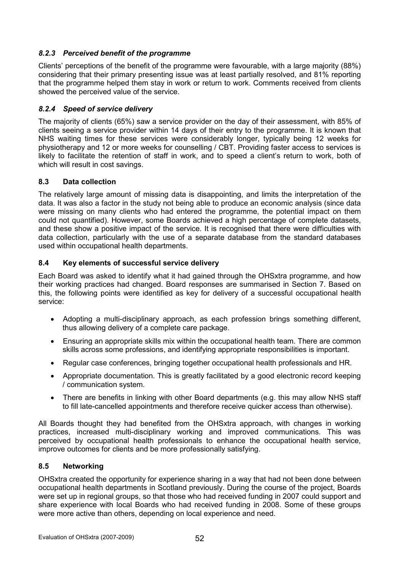# 8.2.3 Perceived benefit of the programme

Clients' perceptions of the benefit of the programme were favourable, with a large majority (88%) considering that their primary presenting issue was at least partially resolved, and 81% reporting that the programme helped them stay in work or return to work. Comments received from clients showed the perceived value of the service.

# 8.2.4 Speed of service delivery

The majority of clients (65%) saw a service provider on the day of their assessment, with 85% of clients seeing a service provider within 14 days of their entry to the programme. It is known that NHS waiting times for these services were considerably longer, typically being 12 weeks for physiotherapy and 12 or more weeks for counselling / CBT. Providing faster access to services is likely to facilitate the retention of staff in work, and to speed a client's return to work, both of which will result in cost savings.

# 8.3 Data collection

The relatively large amount of missing data is disappointing, and limits the interpretation of the data. It was also a factor in the study not being able to produce an economic analysis (since data were missing on many clients who had entered the programme, the potential impact on them could not quantified). However, some Boards achieved a high percentage of complete datasets, and these show a positive impact of the service. It is recognised that there were difficulties with data collection, particularly with the use of a separate database from the standard databases used within occupational health departments.

# 8.4 Key elements of successful service delivery

Each Board was asked to identify what it had gained through the OHSxtra programme, and how their working practices had changed. Board responses are summarised in Section 7. Based on this, the following points were identified as key for delivery of a successful occupational health service:

- Adopting a multi-disciplinary approach, as each profession brings something different, thus allowing delivery of a complete care package.
- Ensuring an appropriate skills mix within the occupational health team. There are common skills across some professions, and identifying appropriate responsibilities is important.
- Regular case conferences, bringing together occupational health professionals and HR.
- Appropriate documentation. This is greatly facilitated by a good electronic record keeping / communication system.
- There are benefits in linking with other Board departments (e.g. this may allow NHS staff to fill late-cancelled appointments and therefore receive quicker access than otherwise).

All Boards thought they had benefited from the OHSxtra approach, with changes in working practices, increased multi-disciplinary working and improved communications. This was perceived by occupational health professionals to enhance the occupational health service, improve outcomes for clients and be more professionally satisfying.

### 8.5 Networking

OHSxtra created the opportunity for experience sharing in a way that had not been done between occupational health departments in Scotland previously. During the course of the project, Boards were set up in regional groups, so that those who had received funding in 2007 could support and share experience with local Boards who had received funding in 2008. Some of these groups were more active than others, depending on local experience and need.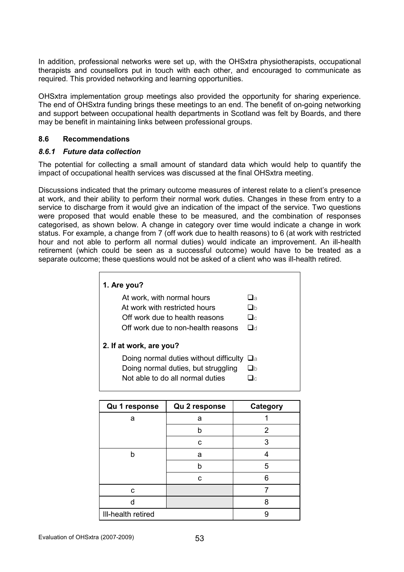In addition, professional networks were set up, with the OHSxtra physiotherapists, occupational therapists and counsellors put in touch with each other, and encouraged to communicate as required. This provided networking and learning opportunities.

OHSxtra implementation group meetings also provided the opportunity for sharing experience. The end of OHSxtra funding brings these meetings to an end. The benefit of on-going networking and support between occupational health departments in Scotland was felt by Boards, and there may be benefit in maintaining links between professional groups.

### 8.6 Recommendations

# 8.6.1 Future data collection

The potential for collecting a small amount of standard data which would help to quantify the impact of occupational health services was discussed at the final OHSxtra meeting.

Discussions indicated that the primary outcome measures of interest relate to a client's presence at work, and their ability to perform their normal work duties. Changes in these from entry to a service to discharge from it would give an indication of the impact of the service. Two questions were proposed that would enable these to be measured, and the combination of responses categorised, as shown below. A change in category over time would indicate a change in work status. For example, a change from 7 (off work due to health reasons) to 6 (at work with restricted hour and not able to perform all normal duties) would indicate an improvement. An ill-health retirement (which could be seen as a successful outcome) would have to be treated as a separate outcome; these questions would not be asked of a client who was ill-health retired.

| 1. Are you?                            |                   |
|----------------------------------------|-------------------|
| At work, with normal hours             | $\Box$ a          |
| At work with restricted hours          | $\Box$ h          |
| Off work due to health reasons         | $\Box$ c          |
| Off work due to non-health reasons     | $\Box$ d          |
| 2. If at work, are you?                |                   |
| Doing normal duties without difficulty | $\sqcup$ a        |
| Doing normal duties, but struggling    | □h                |
| Not able to do all normal duties       | $\mathbf{I} \cap$ |
|                                        |                   |

| Qu 1 response      | Qu 2 response | Category |
|--------------------|---------------|----------|
| а                  | a             |          |
|                    | h             | 2        |
|                    | C             | 3        |
| b                  | a             |          |
|                    | h             | 5        |
|                    | C             | 6        |
| C                  |               |          |
| n                  |               | 8        |
| III-health retired |               | 9        |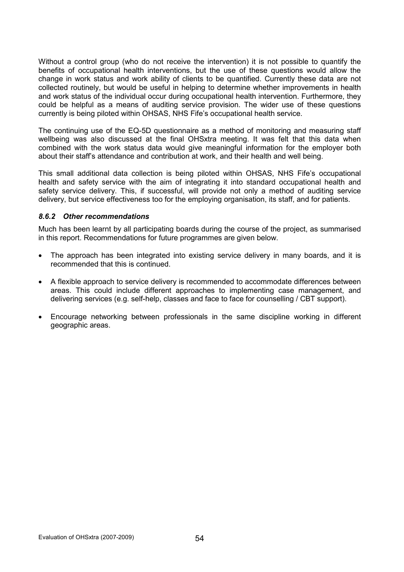Without a control group (who do not receive the intervention) it is not possible to quantify the benefits of occupational health interventions, but the use of these questions would allow the change in work status and work ability of clients to be quantified. Currently these data are not collected routinely, but would be useful in helping to determine whether improvements in health and work status of the individual occur during occupational health intervention. Furthermore, they could be helpful as a means of auditing service provision. The wider use of these questions currently is being piloted within OHSAS, NHS Fife's occupational health service.

The continuing use of the EQ-5D questionnaire as a method of monitoring and measuring staff wellbeing was also discussed at the final OHSxtra meeting. It was felt that this data when combined with the work status data would give meaningful information for the employer both about their staff's attendance and contribution at work, and their health and well being.

This small additional data collection is being piloted within OHSAS, NHS Fife's occupational health and safety service with the aim of integrating it into standard occupational health and safety service delivery. This, if successful, will provide not only a method of auditing service delivery, but service effectiveness too for the employing organisation, its staff, and for patients.

### 8.6.2 Other recommendations

Much has been learnt by all participating boards during the course of the project, as summarised in this report. Recommendations for future programmes are given below.

- The approach has been integrated into existing service delivery in many boards, and it is recommended that this is continued.
- A flexible approach to service delivery is recommended to accommodate differences between areas. This could include different approaches to implementing case management, and delivering services (e.g. self-help, classes and face to face for counselling / CBT support).
- Encourage networking between professionals in the same discipline working in different geographic areas.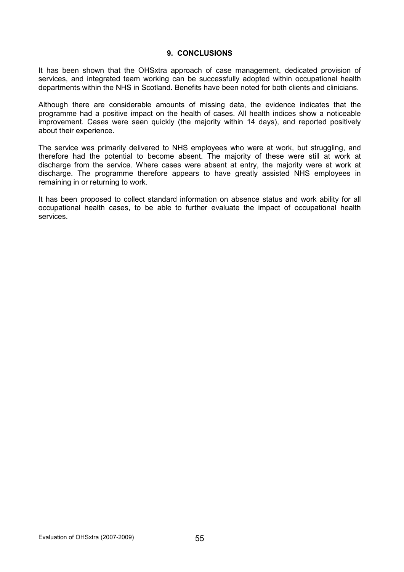#### 9. CONCLUSIONS

It has been shown that the OHSxtra approach of case management, dedicated provision of services, and integrated team working can be successfully adopted within occupational health departments within the NHS in Scotland. Benefits have been noted for both clients and clinicians.

Although there are considerable amounts of missing data, the evidence indicates that the programme had a positive impact on the health of cases. All health indices show a noticeable improvement. Cases were seen quickly (the majority within 14 days), and reported positively about their experience.

The service was primarily delivered to NHS employees who were at work, but struggling, and therefore had the potential to become absent. The majority of these were still at work at discharge from the service. Where cases were absent at entry, the majority were at work at discharge. The programme therefore appears to have greatly assisted NHS employees in remaining in or returning to work.

It has been proposed to collect standard information on absence status and work ability for all occupational health cases, to be able to further evaluate the impact of occupational health services.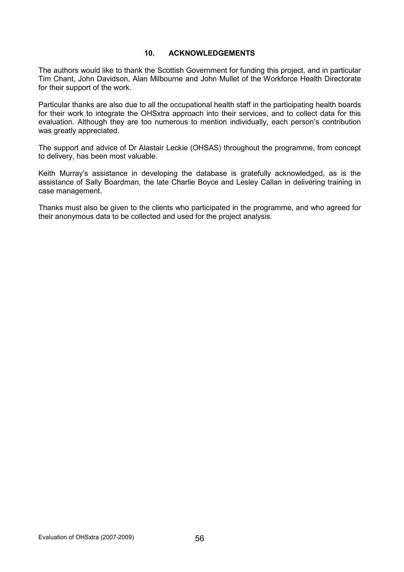### 10. ACKNOWLEDGEMENTS

The authors would like to thank the Scottish Government for funding this project, and in particular Tim Chant, John Davidson, Alan Milbourne and John Mullet of the Workforce Health Directorate for their support of the work.

Particular thanks are also due to all the occupational health staff in the participating health boards for their work to integrate the OHSxtra approach into their services, and to collect data for this evaluation. Although they are too numerous to mention individually, each person's contribution was greatly appreciated.

The support and advice of Dr Alastair Leckie (OHSAS) throughout the programme, from concept to delivery, has been most valuable.

Keith Murray's assistance in developing the database is gratefully acknowledged, as is the assistance of Sally Boardman, the late Charlie Boyce and Lesley Callan in delivering training in case management.

Thanks must also be given to the clients who participated in the programme, and who agreed for their anonymous data to be collected and used for the project analysis.